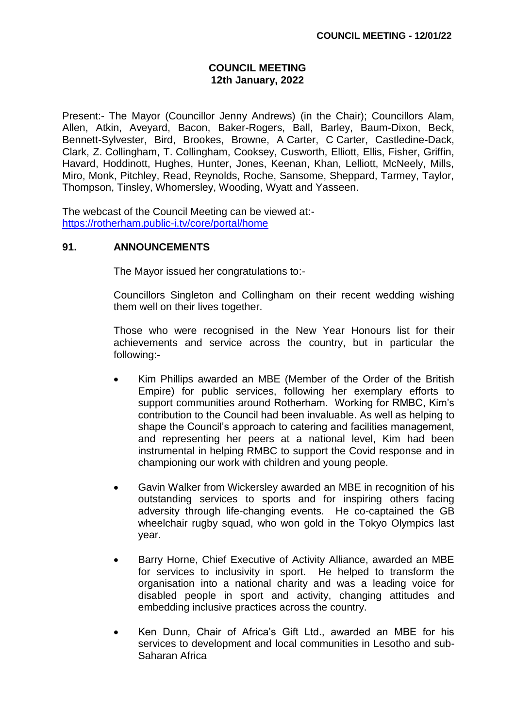### **COUNCIL MEETING 12th January, 2022**

Present:- The Mayor (Councillor Jenny Andrews) (in the Chair); Councillors Alam, Allen, Atkin, Aveyard, Bacon, Baker-Rogers, Ball, Barley, Baum-Dixon, Beck, Bennett-Sylvester, Bird, Brookes, Browne, A Carter, C Carter, Castledine-Dack, Clark, Z. Collingham, T. Collingham, Cooksey, Cusworth, Elliott, Ellis, Fisher, Griffin, Havard, Hoddinott, Hughes, Hunter, Jones, Keenan, Khan, Lelliott, McNeely, Mills, Miro, Monk, Pitchley, Read, Reynolds, Roche, Sansome, Sheppard, Tarmey, Taylor, Thompson, Tinsley, Whomersley, Wooding, Wyatt and Yasseen.

The webcast of the Council Meeting can be viewed at: <https://rotherham.public-i.tv/core/portal/home>

### **91. ANNOUNCEMENTS**

The Mayor issued her congratulations to:-

Councillors Singleton and Collingham on their recent wedding wishing them well on their lives together.

Those who were recognised in the New Year Honours list for their achievements and service across the country, but in particular the following:-

- Kim Phillips awarded an MBE (Member of the Order of the British Empire) for public services, following her exemplary efforts to support communities around Rotherham. Working for RMBC, Kim's contribution to the Council had been invaluable. As well as helping to shape the Council's approach to catering and facilities management, and representing her peers at a national level, Kim had been instrumental in helping RMBC to support the Covid response and in championing our work with children and young people.
- Gavin Walker from Wickersley awarded an MBE in recognition of his outstanding services to sports and for inspiring others facing adversity through life-changing events. He co-captained the GB wheelchair rugby squad, who won gold in the Tokyo Olympics last year.
- Barry Horne, Chief Executive of Activity Alliance, awarded an MBE for services to inclusivity in sport. He helped to transform the organisation into a national charity and was a leading voice for disabled people in sport and activity, changing attitudes and embedding inclusive practices across the country.
- Ken Dunn, Chair of Africa's Gift Ltd., awarded an MBE for his services to development and local communities in Lesotho and sub-Saharan Africa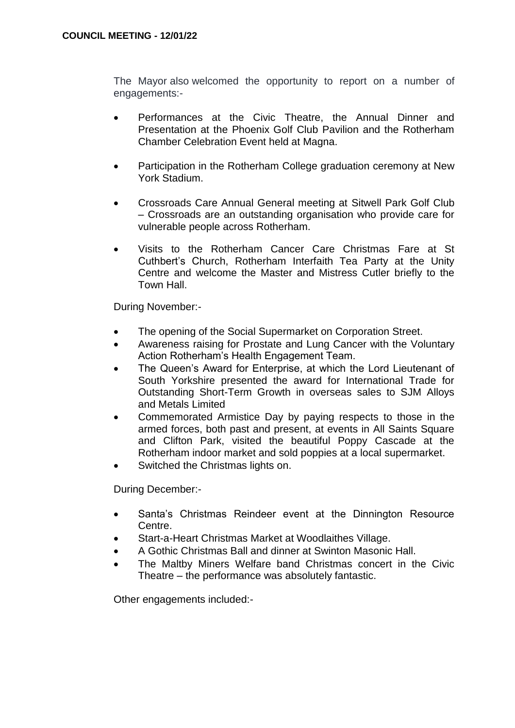The Mayor also welcomed the opportunity to report on a number of engagements:-

- Performances at the Civic Theatre, the Annual Dinner and Presentation at the Phoenix Golf Club Pavilion and the Rotherham Chamber Celebration Event held at Magna.
- Participation in the Rotherham College graduation ceremony at New York Stadium.
- Crossroads Care Annual General meeting at Sitwell Park Golf Club – Crossroads are an outstanding organisation who provide care for vulnerable people across Rotherham.
- Visits to the Rotherham Cancer Care Christmas Fare at St Cuthbert's Church, Rotherham Interfaith Tea Party at the Unity Centre and welcome the Master and Mistress Cutler briefly to the Town Hall.

During November:-

- The opening of the Social Supermarket on Corporation Street.
- Awareness raising for Prostate and Lung Cancer with the Voluntary Action Rotherham's Health Engagement Team.
- The Queen's Award for Enterprise, at which the Lord Lieutenant of South Yorkshire presented the award for International Trade for Outstanding Short-Term Growth in overseas sales to SJM Alloys and Metals Limited
- Commemorated Armistice Day by paying respects to those in the armed forces, both past and present, at events in All Saints Square and Clifton Park, visited the beautiful Poppy Cascade at the Rotherham indoor market and sold poppies at a local supermarket.
- Switched the Christmas lights on.

During December:-

- Santa's Christmas Reindeer event at the Dinnington Resource Centre.
- Start-a-Heart Christmas Market at Woodlaithes Village.
- A Gothic Christmas Ball and dinner at Swinton Masonic Hall.
- The Maltby Miners Welfare band Christmas concert in the Civic Theatre – the performance was absolutely fantastic.

Other engagements included:-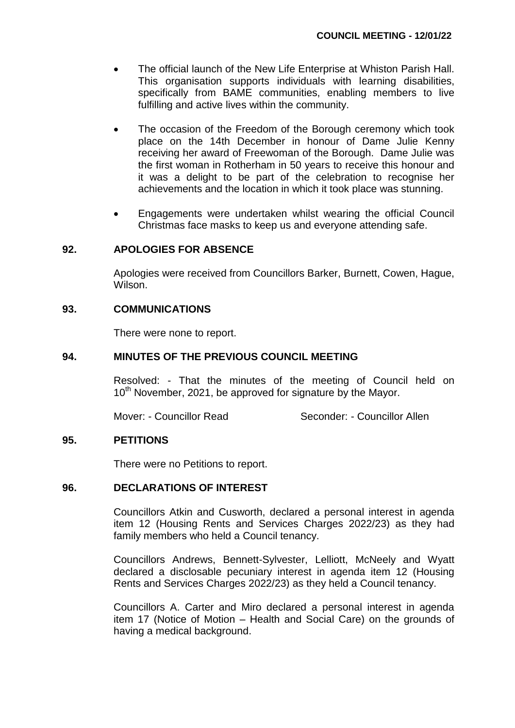- The official launch of the New Life Enterprise at Whiston Parish Hall. This organisation supports individuals with learning disabilities, specifically from BAME communities, enabling members to live fulfilling and active lives within the community.
- The occasion of the Freedom of the Borough ceremony which took place on the 14th December in honour of Dame Julie Kenny receiving her award of Freewoman of the Borough. Dame Julie was the first woman in Rotherham in 50 years to receive this honour and it was a delight to be part of the celebration to recognise her achievements and the location in which it took place was stunning.
- Engagements were undertaken whilst wearing the official Council Christmas face masks to keep us and everyone attending safe.

### **92. APOLOGIES FOR ABSENCE**

Apologies were received from Councillors Barker, Burnett, Cowen, Hague, **Wilson** 

### **93. COMMUNICATIONS**

There were none to report.

### **94. MINUTES OF THE PREVIOUS COUNCIL MEETING**

Resolved: - That the minutes of the meeting of Council held on 10<sup>th</sup> November, 2021, be approved for signature by the Mayor.

Mover: - Councillor Read Seconder: - Councillor Allen

### **95. PETITIONS**

There were no Petitions to report.

# **96. DECLARATIONS OF INTEREST**

Councillors Atkin and Cusworth, declared a personal interest in agenda item 12 (Housing Rents and Services Charges 2022/23) as they had family members who held a Council tenancy.

Councillors Andrews, Bennett-Sylvester, Lelliott, McNeely and Wyatt declared a disclosable pecuniary interest in agenda item 12 (Housing Rents and Services Charges 2022/23) as they held a Council tenancy.

Councillors A. Carter and Miro declared a personal interest in agenda item 17 (Notice of Motion – Health and Social Care) on the grounds of having a medical background.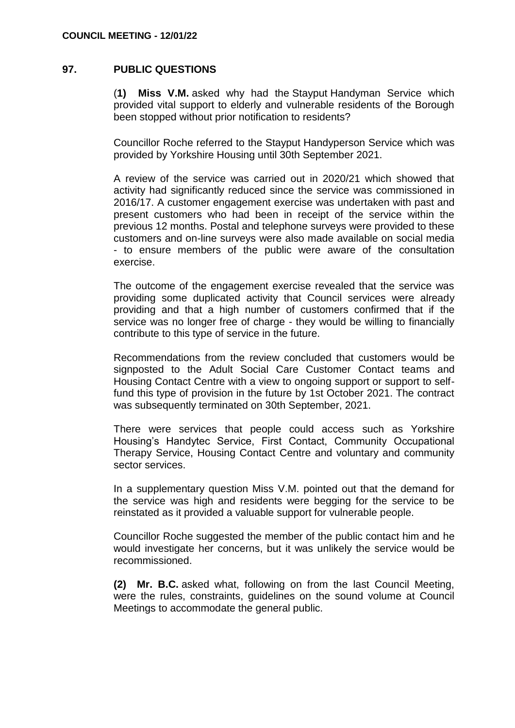### **97. PUBLIC QUESTIONS**

(**1) Miss V.M.** asked why had the Stayput Handyman Service which provided vital support to elderly and vulnerable residents of the Borough been stopped without prior notification to residents?

Councillor Roche referred to the Stayput Handyperson Service which was provided by Yorkshire Housing until 30th September 2021.

A review of the service was carried out in 2020/21 which showed that activity had significantly reduced since the service was commissioned in 2016/17. A customer engagement exercise was undertaken with past and present customers who had been in receipt of the service within the previous 12 months. Postal and telephone surveys were provided to these customers and on-line surveys were also made available on social media - to ensure members of the public were aware of the consultation exercise.

The outcome of the engagement exercise revealed that the service was providing some duplicated activity that Council services were already providing and that a high number of customers confirmed that if the service was no longer free of charge - they would be willing to financially contribute to this type of service in the future.

Recommendations from the review concluded that customers would be signposted to the Adult Social Care Customer Contact teams and Housing Contact Centre with a view to ongoing support or support to selffund this type of provision in the future by 1st October 2021. The contract was subsequently terminated on 30th September, 2021.

There were services that people could access such as Yorkshire Housing's Handytec Service, First Contact, Community Occupational Therapy Service, Housing Contact Centre and voluntary and community sector services.

In a supplementary question Miss V.M. pointed out that the demand for the service was high and residents were begging for the service to be reinstated as it provided a valuable support for vulnerable people.

Councillor Roche suggested the member of the public contact him and he would investigate her concerns, but it was unlikely the service would be recommissioned.

**(2) Mr. B.C.** asked what, following on from the last Council Meeting, were the rules, constraints, guidelines on the sound volume at Council Meetings to accommodate the general public.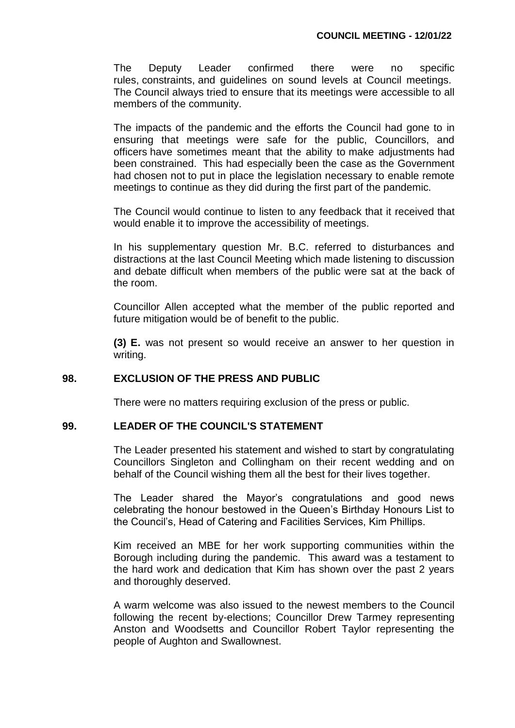The Deputy Leader confirmed there were no specific rules, constraints, and guidelines on sound levels at Council meetings. The Council always tried to ensure that its meetings were accessible to all members of the community.

The impacts of the pandemic and the efforts the Council had gone to in ensuring that meetings were safe for the public, Councillors, and officers have sometimes meant that the ability to make adjustments had been constrained. This had especially been the case as the Government had chosen not to put in place the legislation necessary to enable remote meetings to continue as they did during the first part of the pandemic.

The Council would continue to listen to any feedback that it received that would enable it to improve the accessibility of meetings.

In his supplementary question Mr. B.C. referred to disturbances and distractions at the last Council Meeting which made listening to discussion and debate difficult when members of the public were sat at the back of the room.

Councillor Allen accepted what the member of the public reported and future mitigation would be of benefit to the public.

**(3) E.** was not present so would receive an answer to her question in writing.

# **98. EXCLUSION OF THE PRESS AND PUBLIC**

There were no matters requiring exclusion of the press or public.

### **99. LEADER OF THE COUNCIL'S STATEMENT**

The Leader presented his statement and wished to start by congratulating Councillors Singleton and Collingham on their recent wedding and on behalf of the Council wishing them all the best for their lives together.

The Leader shared the Mayor's congratulations and good news celebrating the honour bestowed in the Queen's Birthday Honours List to the Council's, Head of Catering and Facilities Services, Kim Phillips.

Kim received an MBE for her work supporting communities within the Borough including during the pandemic. This award was a testament to the hard work and dedication that Kim has shown over the past 2 years and thoroughly deserved.

A warm welcome was also issued to the newest members to the Council following the recent by-elections; Councillor Drew Tarmey representing Anston and Woodsetts and Councillor Robert Taylor representing the people of Aughton and Swallownest.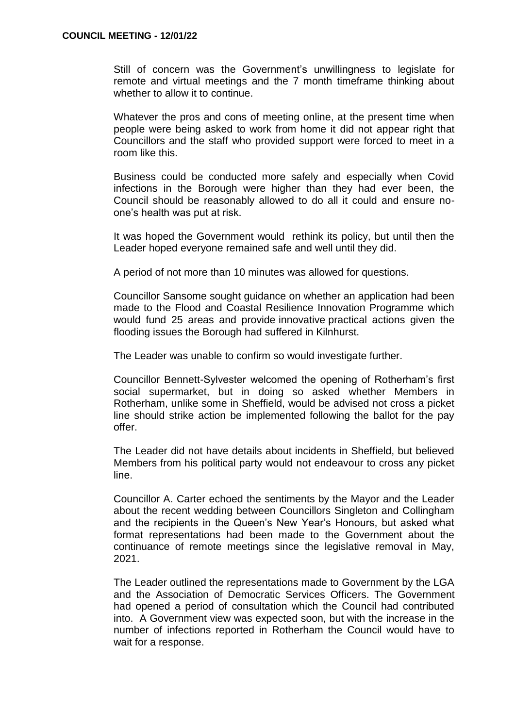Still of concern was the Government's unwillingness to legislate for remote and virtual meetings and the 7 month timeframe thinking about whether to allow it to continue.

Whatever the pros and cons of meeting online, at the present time when people were being asked to work from home it did not appear right that Councillors and the staff who provided support were forced to meet in a room like this.

Business could be conducted more safely and especially when Covid infections in the Borough were higher than they had ever been, the Council should be reasonably allowed to do all it could and ensure noone's health was put at risk.

It was hoped the Government would rethink its policy, but until then the Leader hoped everyone remained safe and well until they did.

A period of not more than 10 minutes was allowed for questions.

Councillor Sansome sought guidance on whether an application had been made to the Flood and Coastal Resilience Innovation Programme which would fund 25 areas and provide innovative practical actions given the flooding issues the Borough had suffered in Kilnhurst.

The Leader was unable to confirm so would investigate further.

Councillor Bennett-Sylvester welcomed the opening of Rotherham's first social supermarket, but in doing so asked whether Members in Rotherham, unlike some in Sheffield, would be advised not cross a picket line should strike action be implemented following the ballot for the pay offer.

The Leader did not have details about incidents in Sheffield, but believed Members from his political party would not endeavour to cross any picket line.

Councillor A. Carter echoed the sentiments by the Mayor and the Leader about the recent wedding between Councillors Singleton and Collingham and the recipients in the Queen's New Year's Honours, but asked what format representations had been made to the Government about the continuance of remote meetings since the legislative removal in May, 2021.

The Leader outlined the representations made to Government by the LGA and the Association of Democratic Services Officers. The Government had opened a period of consultation which the Council had contributed into. A Government view was expected soon, but with the increase in the number of infections reported in Rotherham the Council would have to wait for a response.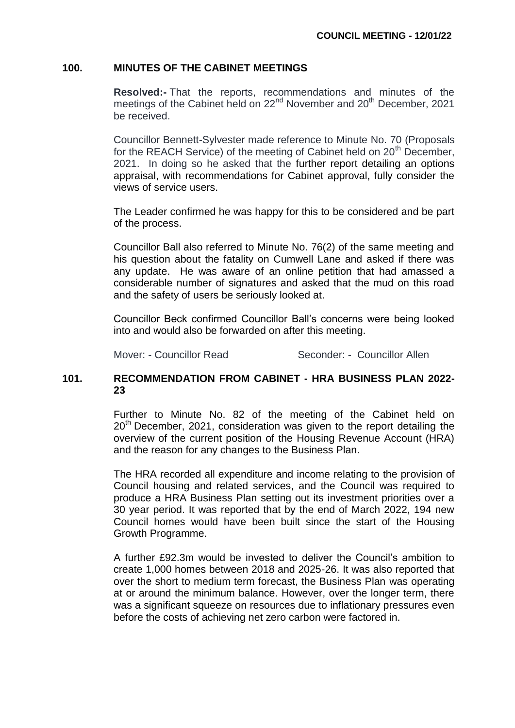### **100. MINUTES OF THE CABINET MEETINGS**

**Resolved:-** That the reports, recommendations and minutes of the meetings of the Cabinet held on 22<sup>nd</sup> November and 20<sup>th</sup> December, 2021 be received.

Councillor Bennett-Sylvester made reference to Minute No. 70 (Proposals for the REACH Service) of the meeting of Cabinet held on  $20<sup>th</sup>$  December, 2021. In doing so he asked that the further report detailing an options appraisal, with recommendations for Cabinet approval, fully consider the views of service users.

The Leader confirmed he was happy for this to be considered and be part of the process.

Councillor Ball also referred to Minute No. 76(2) of the same meeting and his question about the fatality on Cumwell Lane and asked if there was any update. He was aware of an online petition that had amassed a considerable number of signatures and asked that the mud on this road and the safety of users be seriously looked at.

Councillor Beck confirmed Councillor Ball's concerns were being looked into and would also be forwarded on after this meeting.

Mover: - Councillor Read Seconder: - Councillor Allen

# **101. RECOMMENDATION FROM CABINET - HRA BUSINESS PLAN 2022- 23**

Further to Minute No. 82 of the meeting of the Cabinet held on  $20<sup>th</sup>$  December, 2021, consideration was given to the report detailing the overview of the current position of the Housing Revenue Account (HRA) and the reason for any changes to the Business Plan.

The HRA recorded all expenditure and income relating to the provision of Council housing and related services, and the Council was required to produce a HRA Business Plan setting out its investment priorities over a 30 year period. It was reported that by the end of March 2022, 194 new Council homes would have been built since the start of the Housing Growth Programme.

A further £92.3m would be invested to deliver the Council's ambition to create 1,000 homes between 2018 and 2025-26. It was also reported that over the short to medium term forecast, the Business Plan was operating at or around the minimum balance. However, over the longer term, there was a significant squeeze on resources due to inflationary pressures even before the costs of achieving net zero carbon were factored in.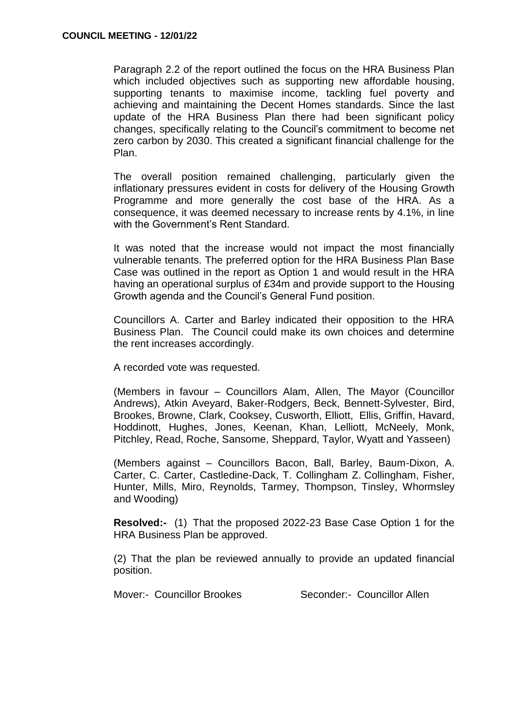Paragraph 2.2 of the report outlined the focus on the HRA Business Plan which included objectives such as supporting new affordable housing, supporting tenants to maximise income, tackling fuel poverty and achieving and maintaining the Decent Homes standards. Since the last update of the HRA Business Plan there had been significant policy changes, specifically relating to the Council's commitment to become net zero carbon by 2030. This created a significant financial challenge for the Plan.

The overall position remained challenging, particularly given the inflationary pressures evident in costs for delivery of the Housing Growth Programme and more generally the cost base of the HRA. As a consequence, it was deemed necessary to increase rents by 4.1%, in line with the Government's Rent Standard.

It was noted that the increase would not impact the most financially vulnerable tenants. The preferred option for the HRA Business Plan Base Case was outlined in the report as Option 1 and would result in the HRA having an operational surplus of £34m and provide support to the Housing Growth agenda and the Council's General Fund position.

Councillors A. Carter and Barley indicated their opposition to the HRA Business Plan. The Council could make its own choices and determine the rent increases accordingly.

A recorded vote was requested.

(Members in favour – Councillors Alam, Allen, The Mayor (Councillor Andrews), Atkin Aveyard, Baker-Rodgers, Beck, Bennett-Sylvester, Bird, Brookes, Browne, Clark, Cooksey, Cusworth, Elliott, Ellis, Griffin, Havard, Hoddinott, Hughes, Jones, Keenan, Khan, Lelliott, McNeely, Monk, Pitchley, Read, Roche, Sansome, Sheppard, Taylor, Wyatt and Yasseen)

(Members against – Councillors Bacon, Ball, Barley, Baum-Dixon, A. Carter, C. Carter, Castledine-Dack, T. Collingham Z. Collingham, Fisher, Hunter, Mills, Miro, Reynolds, Tarmey, Thompson, Tinsley, Whormsley and Wooding)

**Resolved:-** (1) That the proposed 2022-23 Base Case Option 1 for the HRA Business Plan be approved.

(2) That the plan be reviewed annually to provide an updated financial position.

Mover:- Councillor Brookes Seconder:- Councillor Allen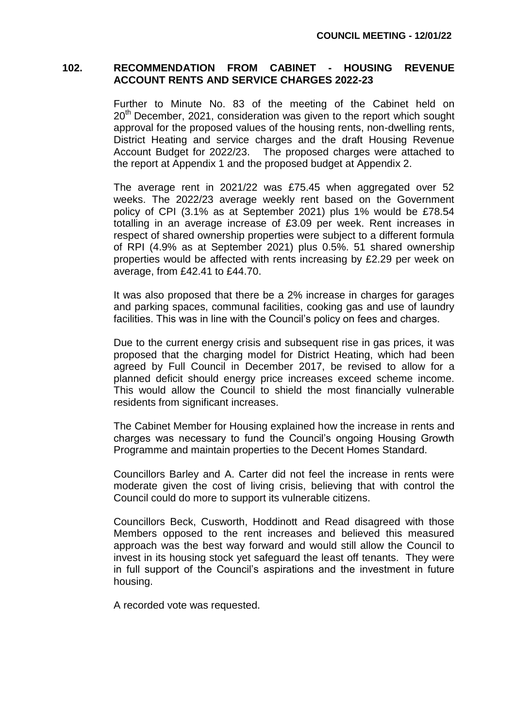### **102. RECOMMENDATION FROM CABINET - HOUSING REVENUE ACCOUNT RENTS AND SERVICE CHARGES 2022-23**

Further to Minute No. 83 of the meeting of the Cabinet held on  $20<sup>th</sup>$  December, 2021, consideration was given to the report which sought approval for the proposed values of the housing rents, non-dwelling rents, District Heating and service charges and the draft Housing Revenue Account Budget for 2022/23. The proposed charges were attached to the report at Appendix 1 and the proposed budget at Appendix 2.

The average rent in 2021/22 was £75.45 when aggregated over 52 weeks. The 2022/23 average weekly rent based on the Government policy of CPI (3.1% as at September 2021) plus 1% would be £78.54 totalling in an average increase of £3.09 per week. Rent increases in respect of shared ownership properties were subject to a different formula of RPI (4.9% as at September 2021) plus 0.5%. 51 shared ownership properties would be affected with rents increasing by £2.29 per week on average, from £42.41 to £44.70.

It was also proposed that there be a 2% increase in charges for garages and parking spaces, communal facilities, cooking gas and use of laundry facilities. This was in line with the Council's policy on fees and charges.

Due to the current energy crisis and subsequent rise in gas prices, it was proposed that the charging model for District Heating, which had been agreed by Full Council in December 2017, be revised to allow for a planned deficit should energy price increases exceed scheme income. This would allow the Council to shield the most financially vulnerable residents from significant increases.

The Cabinet Member for Housing explained how the increase in rents and charges was necessary to fund the Council's ongoing Housing Growth Programme and maintain properties to the Decent Homes Standard.

Councillors Barley and A. Carter did not feel the increase in rents were moderate given the cost of living crisis, believing that with control the Council could do more to support its vulnerable citizens.

Councillors Beck, Cusworth, Hoddinott and Read disagreed with those Members opposed to the rent increases and believed this measured approach was the best way forward and would still allow the Council to invest in its housing stock yet safeguard the least off tenants. They were in full support of the Council's aspirations and the investment in future housing.

A recorded vote was requested.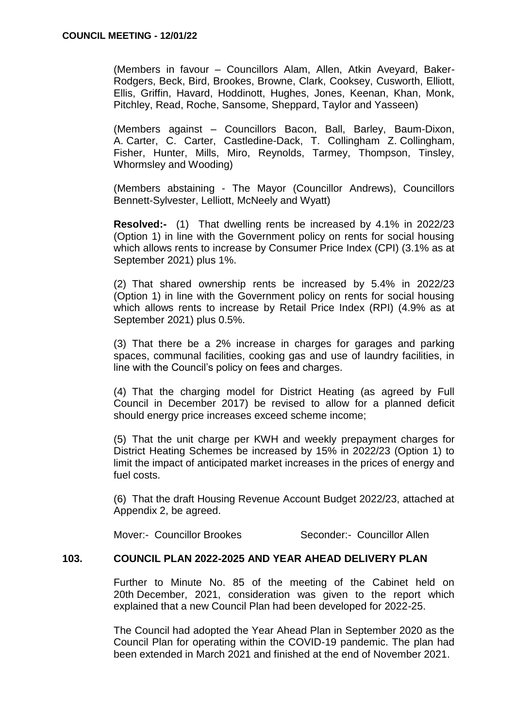(Members in favour – Councillors Alam, Allen, Atkin Aveyard, Baker-Rodgers, Beck, Bird, Brookes, Browne, Clark, Cooksey, Cusworth, Elliott, Ellis, Griffin, Havard, Hoddinott, Hughes, Jones, Keenan, Khan, Monk, Pitchley, Read, Roche, Sansome, Sheppard, Taylor and Yasseen)

(Members against – Councillors Bacon, Ball, Barley, Baum-Dixon, A. Carter, C. Carter, Castledine-Dack, T. Collingham Z. Collingham, Fisher, Hunter, Mills, Miro, Reynolds, Tarmey, Thompson, Tinsley, Whormsley and Wooding)

(Members abstaining - The Mayor (Councillor Andrews), Councillors Bennett-Sylvester, Lelliott, McNeely and Wyatt)

**Resolved:-** (1) That dwelling rents be increased by 4.1% in 2022/23 (Option 1) in line with the Government policy on rents for social housing which allows rents to increase by Consumer Price Index (CPI) (3.1% as at September 2021) plus 1%.

(2) That shared ownership rents be increased by 5.4% in 2022/23 (Option 1) in line with the Government policy on rents for social housing which allows rents to increase by Retail Price Index (RPI) (4.9% as at September 2021) plus 0.5%.

(3) That there be a 2% increase in charges for garages and parking spaces, communal facilities, cooking gas and use of laundry facilities, in line with the Council's policy on fees and charges.

(4) That the charging model for District Heating (as agreed by Full Council in December 2017) be revised to allow for a planned deficit should energy price increases exceed scheme income;

(5) That the unit charge per KWH and weekly prepayment charges for District Heating Schemes be increased by 15% in 2022/23 (Option 1) to limit the impact of anticipated market increases in the prices of energy and fuel costs.

(6) That the draft Housing Revenue Account Budget 2022/23, attached at Appendix 2, be agreed.

Mover:- Councillor Brookes Seconder:- Councillor Allen

# **103. COUNCIL PLAN 2022-2025 AND YEAR AHEAD DELIVERY PLAN**

Further to Minute No. 85 of the meeting of the Cabinet held on 20th December, 2021, consideration was given to the report which explained that a new Council Plan had been developed for 2022-25.

The Council had adopted the Year Ahead Plan in September 2020 as the Council Plan for operating within the COVID-19 pandemic. The plan had been extended in March 2021 and finished at the end of November 2021.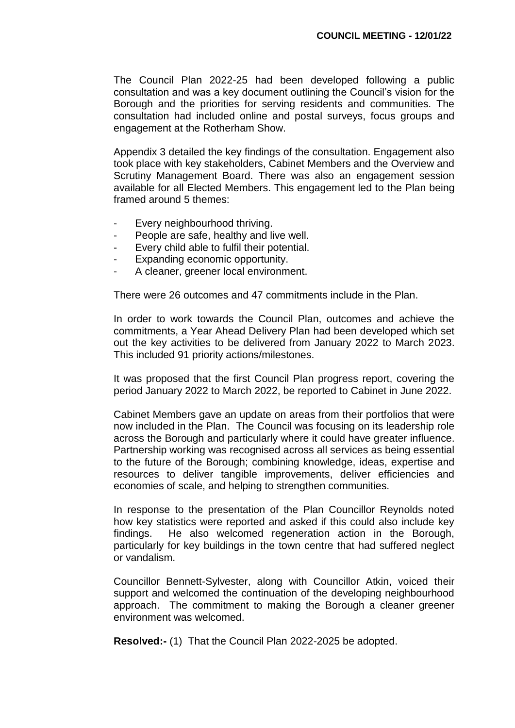The Council Plan 2022-25 had been developed following a public consultation and was a key document outlining the Council's vision for the Borough and the priorities for serving residents and communities. The consultation had included online and postal surveys, focus groups and engagement at the Rotherham Show.

Appendix 3 detailed the key findings of the consultation. Engagement also took place with key stakeholders, Cabinet Members and the Overview and Scrutiny Management Board. There was also an engagement session available for all Elected Members. This engagement led to the Plan being framed around 5 themes:

- Every neighbourhood thriving.
- People are safe, healthy and live well.
- Every child able to fulfil their potential.
- Expanding economic opportunity.
- A cleaner, greener local environment.

There were 26 outcomes and 47 commitments include in the Plan.

In order to work towards the Council Plan, outcomes and achieve the commitments, a Year Ahead Delivery Plan had been developed which set out the key activities to be delivered from January 2022 to March 2023. This included 91 priority actions/milestones.

It was proposed that the first Council Plan progress report, covering the period January 2022 to March 2022, be reported to Cabinet in June 2022.

Cabinet Members gave an update on areas from their portfolios that were now included in the Plan. The Council was focusing on its leadership role across the Borough and particularly where it could have greater influence. Partnership working was recognised across all services as being essential to the future of the Borough; combining knowledge, ideas, expertise and resources to deliver tangible improvements, deliver efficiencies and economies of scale, and helping to strengthen communities.

In response to the presentation of the Plan Councillor Reynolds noted how key statistics were reported and asked if this could also include key findings. He also welcomed regeneration action in the Borough, particularly for key buildings in the town centre that had suffered neglect or vandalism.

Councillor Bennett-Sylvester, along with Councillor Atkin, voiced their support and welcomed the continuation of the developing neighbourhood approach. The commitment to making the Borough a cleaner greener environment was welcomed.

**Resolved:-** (1) That the Council Plan 2022-2025 be adopted.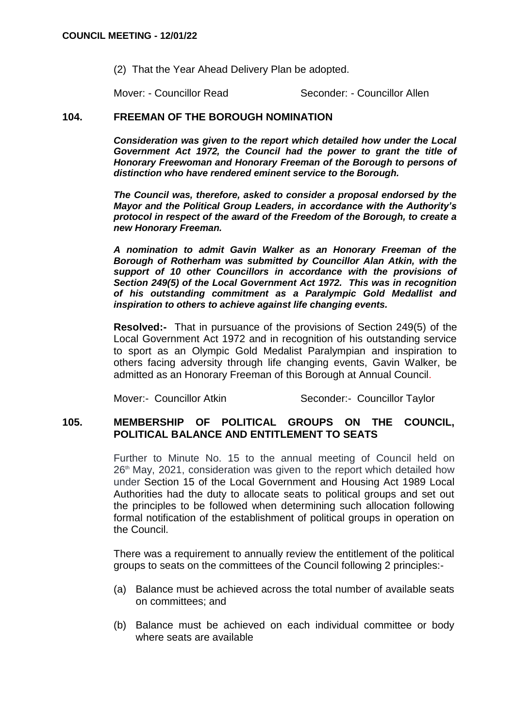(2) That the Year Ahead Delivery Plan be adopted.

Mover: - Councillor Read Seconder: - Councillor Allen

### **104. FREEMAN OF THE BOROUGH NOMINATION**

*Consideration was given to the report which detailed how under the Local Government Act 1972, the Council had the power to grant the title of Honorary Freewoman and Honorary Freeman of the Borough to persons of distinction who have rendered eminent service to the Borough.*

*The Council was, therefore, asked to consider a proposal endorsed by the Mayor and the Political Group Leaders, in accordance with the Authority's protocol in respect of the award of the Freedom of the Borough, to create a new Honorary Freeman.*

*A nomination to admit Gavin Walker as an Honorary Freeman of the Borough of Rotherham was submitted by Councillor Alan Atkin, with the support of 10 other Councillors in accordance with the provisions of Section 249(5) of the Local Government Act 1972. This was in recognition of his outstanding commitment as a Paralympic Gold Medallist and inspiration to others to achieve against life changing events.*

**Resolved:-** That in pursuance of the provisions of Section 249(5) of the Local Government Act 1972 and in recognition of his outstanding service to sport as an Olympic Gold Medalist Paralympian and inspiration to others facing adversity through life changing events, Gavin Walker, be admitted as an Honorary Freeman of this Borough at Annual Council.

Mover:- Councillor Atkin Seconder:- Councillor Taylor

## **105. MEMBERSHIP OF POLITICAL GROUPS ON THE COUNCIL, POLITICAL BALANCE AND ENTITLEMENT TO SEATS**

Further to Minute No. 15 to the annual meeting of Council held on  $26<sup>th</sup>$  May, 2021, consideration was given to the report which detailed how under Section 15 of the Local Government and Housing Act 1989 Local Authorities had the duty to allocate seats to political groups and set out the principles to be followed when determining such allocation following formal notification of the establishment of political groups in operation on the Council.

There was a requirement to annually review the entitlement of the political groups to seats on the committees of the Council following 2 principles:-

- (a) Balance must be achieved across the total number of available seats on committees; and
- (b) Balance must be achieved on each individual committee or body where seats are available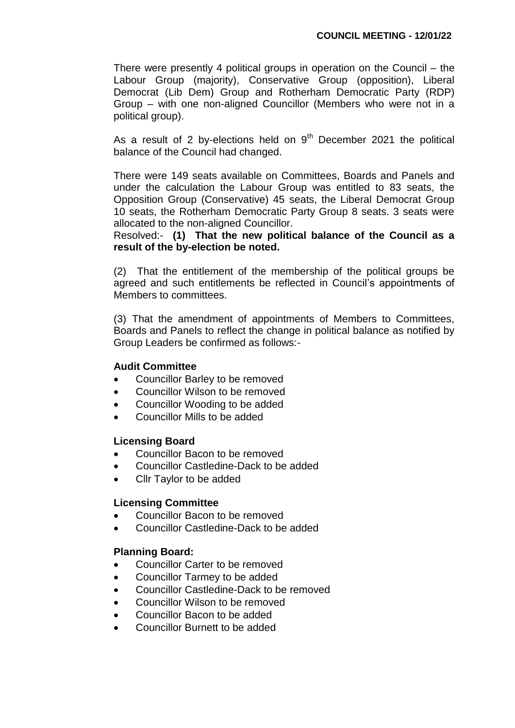There were presently 4 political groups in operation on the Council – the Labour Group (majority), Conservative Group (opposition), Liberal Democrat (Lib Dem) Group and Rotherham Democratic Party (RDP) Group – with one non-aligned Councillor (Members who were not in a political group).

As a result of 2 by-elections held on  $9<sup>th</sup>$  December 2021 the political balance of the Council had changed.

There were 149 seats available on Committees, Boards and Panels and under the calculation the Labour Group was entitled to 83 seats, the Opposition Group (Conservative) 45 seats, the Liberal Democrat Group 10 seats, the Rotherham Democratic Party Group 8 seats. 3 seats were allocated to the non-aligned Councillor.

Resolved:- **(1) That the new political balance of the Council as a result of the by-election be noted.**

(2) That the entitlement of the membership of the political groups be agreed and such entitlements be reflected in Council's appointments of Members to committees.

(3) That the amendment of appointments of Members to Committees, Boards and Panels to reflect the change in political balance as notified by Group Leaders be confirmed as follows:-

### **Audit Committee**

- Councillor Barley to be removed
- Councillor Wilson to be removed
- Councillor Wooding to be added
- Councillor Mills to be added

### **Licensing Board**

- Councillor Bacon to be removed
- Councillor Castledine-Dack to be added
- Cllr Taylor to be added

### **Licensing Committee**

- Councillor Bacon to be removed
- Councillor Castledine-Dack to be added

### **Planning Board:**

- Councillor Carter to be removed
- Councillor Tarmey to be added
- Councillor Castledine-Dack to be removed
- Councillor Wilson to be removed
- Councillor Bacon to be added
- Councillor Burnett to be added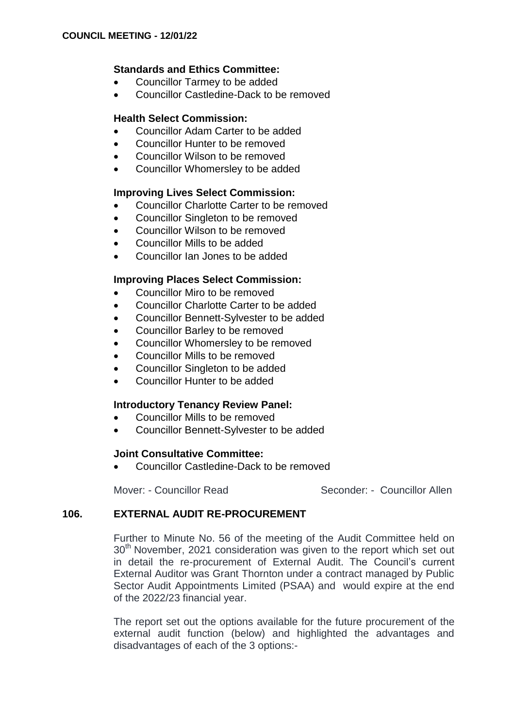# **Standards and Ethics Committee:**

- Councillor Tarmey to be added
- Councillor Castledine-Dack to be removed

## **Health Select Commission:**

- Councillor Adam Carter to be added
- Councillor Hunter to be removed
- Councillor Wilson to be removed
- Councillor Whomersley to be added

### **Improving Lives Select Commission:**

- Councillor Charlotte Carter to be removed
- Councillor Singleton to be removed
- Councillor Wilson to be removed
- Councillor Mills to be added
- Councillor Ian Jones to be added

# **Improving Places Select Commission:**

- Councillor Miro to be removed
- Councillor Charlotte Carter to be added
- Councillor Bennett-Sylvester to be added
- Councillor Barley to be removed
- Councillor Whomersley to be removed
- Councillor Mills to be removed
- Councillor Singleton to be added
- Councillor Hunter to be added

# **Introductory Tenancy Review Panel:**

- Councillor Mills to be removed
- Councillor Bennett-Sylvester to be added

### **Joint Consultative Committee:**

Councillor Castledine-Dack to be removed

Mover: - Councillor Read Seconder: - Councillor Allen

# **106. EXTERNAL AUDIT RE-PROCUREMENT**

Further to Minute No. 56 of the meeting of the Audit Committee held on 30<sup>th</sup> November, 2021 consideration was given to the report which set out in detail the re-procurement of External Audit. The Council's current External Auditor was Grant Thornton under a contract managed by Public Sector Audit Appointments Limited (PSAA) and would expire at the end of the 2022/23 financial year.

The report set out the options available for the future procurement of the external audit function (below) and highlighted the advantages and disadvantages of each of the 3 options:-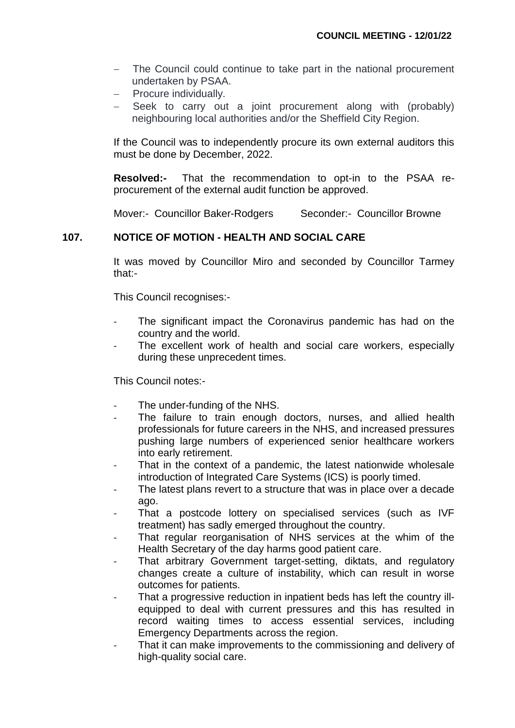- The Council could continue to take part in the national procurement undertaken by PSAA.
- Procure individually.
- Seek to carry out a joint procurement along with (probably) neighbouring local authorities and/or the Sheffield City Region.

If the Council was to independently procure its own external auditors this must be done by December, 2022.

**Resolved:-** That the recommendation to opt-in to the PSAA reprocurement of the external audit function be approved.

Mover:- Councillor Baker-Rodgers Seconder:- Councillor Browne

# **107. NOTICE OF MOTION - HEALTH AND SOCIAL CARE**

It was moved by Councillor Miro and seconded by Councillor Tarmey that:-

This Council recognises:-

- The significant impact the Coronavirus pandemic has had on the country and the world.
- The excellent work of health and social care workers, especially during these unprecedent times.

This Council notes:-

- The under-funding of the NHS.
- The failure to train enough doctors, nurses, and allied health professionals for future careers in the NHS, and increased pressures pushing large numbers of experienced senior healthcare workers into early retirement.
- That in the context of a pandemic, the latest nationwide wholesale introduction of Integrated Care Systems (ICS) is poorly timed.
- The latest plans revert to a structure that was in place over a decade ago.
- That a postcode lottery on specialised services (such as IVF treatment) has sadly emerged throughout the country.
- That regular reorganisation of NHS services at the whim of the Health Secretary of the day harms good patient care.
- That arbitrary Government target-setting, diktats, and regulatory changes create a culture of instability, which can result in worse outcomes for patients.
- That a progressive reduction in inpatient beds has left the country illequipped to deal with current pressures and this has resulted in record waiting times to access essential services, including Emergency Departments across the region.
- That it can make improvements to the commissioning and delivery of high-quality social care.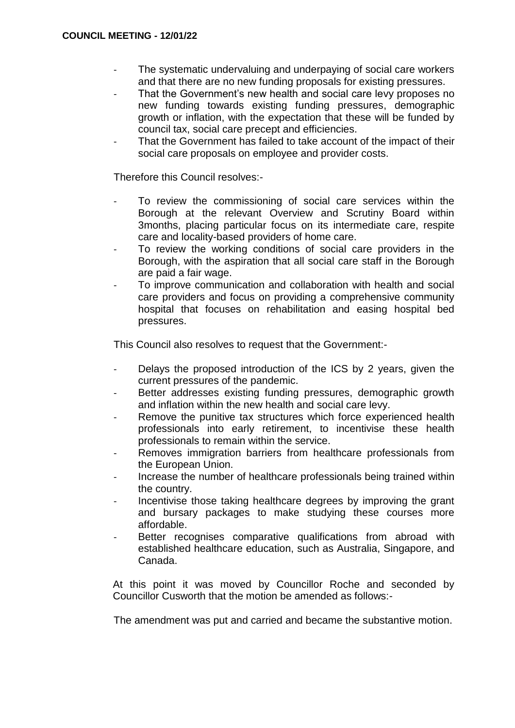- The systematic undervaluing and underpaying of social care workers and that there are no new funding proposals for existing pressures.
- That the Government's new health and social care levy proposes no new funding towards existing funding pressures, demographic growth or inflation, with the expectation that these will be funded by council tax, social care precept and efficiencies.
- That the Government has failed to take account of the impact of their social care proposals on employee and provider costs.

Therefore this Council resolves:-

- To review the commissioning of social care services within the Borough at the relevant Overview and Scrutiny Board within 3months, placing particular focus on its intermediate care, respite care and locality-based providers of home care.
- To review the working conditions of social care providers in the Borough, with the aspiration that all social care staff in the Borough are paid a fair wage.
- To improve communication and collaboration with health and social care providers and focus on providing a comprehensive community hospital that focuses on rehabilitation and easing hospital bed pressures.

This Council also resolves to request that the Government:-

- Delays the proposed introduction of the ICS by 2 years, given the current pressures of the pandemic.
- Better addresses existing funding pressures, demographic growth and inflation within the new health and social care levy.
- Remove the punitive tax structures which force experienced health professionals into early retirement, to incentivise these health professionals to remain within the service.
- Removes immigration barriers from healthcare professionals from the European Union.
- Increase the number of healthcare professionals being trained within the country.
- Incentivise those taking healthcare degrees by improving the grant and bursary packages to make studying these courses more affordable.
- Better recognises comparative qualifications from abroad with established healthcare education, such as Australia, Singapore, and Canada.

At this point it was moved by Councillor Roche and seconded by Councillor Cusworth that the motion be amended as follows:-

The amendment was put and carried and became the substantive motion.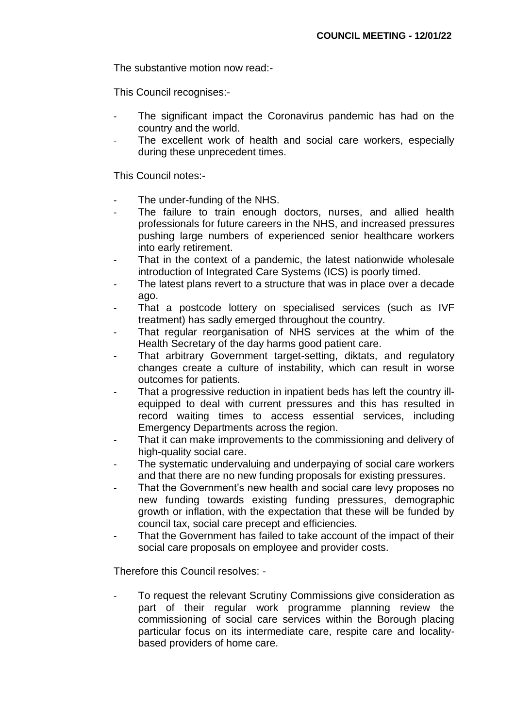The substantive motion now read:-

This Council recognises:-

- The significant impact the Coronavirus pandemic has had on the country and the world.
- The excellent work of health and social care workers, especially during these unprecedent times.

This Council notes:-

- The under-funding of the NHS.
- The failure to train enough doctors, nurses, and allied health professionals for future careers in the NHS, and increased pressures pushing large numbers of experienced senior healthcare workers into early retirement.
- That in the context of a pandemic, the latest nationwide wholesale introduction of Integrated Care Systems (ICS) is poorly timed.
- The latest plans revert to a structure that was in place over a decade ago.
- That a postcode lottery on specialised services (such as IVF treatment) has sadly emerged throughout the country.
- That regular reorganisation of NHS services at the whim of the Health Secretary of the day harms good patient care.
- That arbitrary Government target-setting, diktats, and regulatory changes create a culture of instability, which can result in worse outcomes for patients.
- That a progressive reduction in inpatient beds has left the country illequipped to deal with current pressures and this has resulted in record waiting times to access essential services, including Emergency Departments across the region.
- That it can make improvements to the commissioning and delivery of high-quality social care.
- The systematic undervaluing and underpaying of social care workers and that there are no new funding proposals for existing pressures.
- That the Government's new health and social care levy proposes no new funding towards existing funding pressures, demographic growth or inflation, with the expectation that these will be funded by council tax, social care precept and efficiencies.
- That the Government has failed to take account of the impact of their social care proposals on employee and provider costs.

Therefore this Council resolves: -

To request the relevant Scrutiny Commissions give consideration as part of their regular work programme planning review the commissioning of social care services within the Borough placing particular focus on its intermediate care, respite care and localitybased providers of home care.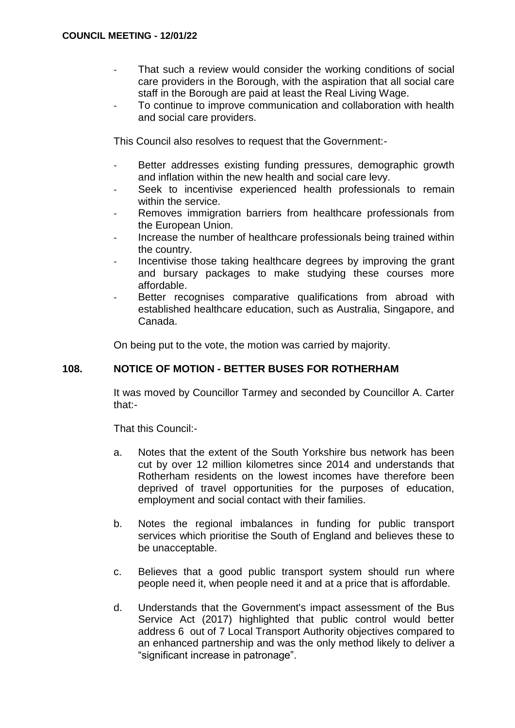- That such a review would consider the working conditions of social care providers in the Borough, with the aspiration that all social care staff in the Borough are paid at least the Real Living Wage.
- To continue to improve communication and collaboration with health and social care providers.

This Council also resolves to request that the Government:-

- Better addresses existing funding pressures, demographic growth and inflation within the new health and social care levy.
- Seek to incentivise experienced health professionals to remain within the service.
- Removes immigration barriers from healthcare professionals from the European Union.
- Increase the number of healthcare professionals being trained within the country.
- Incentivise those taking healthcare degrees by improving the grant and bursary packages to make studying these courses more affordable.
- Better recognises comparative qualifications from abroad with established healthcare education, such as Australia, Singapore, and Canada.

On being put to the vote, the motion was carried by majority.

# **108. NOTICE OF MOTION - BETTER BUSES FOR ROTHERHAM**

It was moved by Councillor Tarmey and seconded by Councillor A. Carter that:-

That this Council:-

- a. Notes that the extent of the South Yorkshire bus network has been cut by over 12 million kilometres since 2014 and understands that Rotherham residents on the lowest incomes have therefore been deprived of travel opportunities for the purposes of education, employment and social contact with their families.
- b. Notes the regional imbalances in funding for public transport services which prioritise the South of England and believes these to be unacceptable.
- c. Believes that a good public transport system should run where people need it, when people need it and at a price that is affordable.
- d. Understands that the Government's impact assessment of the Bus Service Act (2017) highlighted that public control would better address 6 out of 7 Local Transport Authority objectives compared to an enhanced partnership and was the only method likely to deliver a "significant increase in patronage".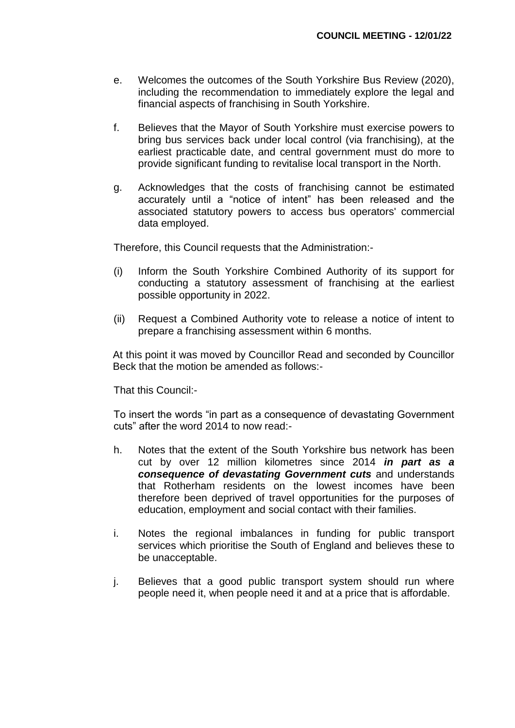- e. Welcomes the outcomes of the South Yorkshire Bus Review (2020), including the recommendation to immediately explore the legal and financial aspects of franchising in South Yorkshire.
- f. Believes that the Mayor of South Yorkshire must exercise powers to bring bus services back under local control (via franchising), at the earliest practicable date, and central government must do more to provide significant funding to revitalise local transport in the North.
- g. Acknowledges that the costs of franchising cannot be estimated accurately until a "notice of intent" has been released and the associated statutory powers to access bus operators' commercial data employed.

Therefore, this Council requests that the Administration:-

- (i) Inform the South Yorkshire Combined Authority of its support for conducting a statutory assessment of franchising at the earliest possible opportunity in 2022.
- (ii) Request a Combined Authority vote to release a notice of intent to prepare a franchising assessment within 6 months.

At this point it was moved by Councillor Read and seconded by Councillor Beck that the motion be amended as follows:-

That this Council:-

To insert the words "in part as a consequence of devastating Government cuts" after the word 2014 to now read:-

- h. Notes that the extent of the South Yorkshire bus network has been cut by over 12 million kilometres since 2014 *in part as a consequence of devastating Government cuts* and understands that Rotherham residents on the lowest incomes have been therefore been deprived of travel opportunities for the purposes of education, employment and social contact with their families.
- i. Notes the regional imbalances in funding for public transport services which prioritise the South of England and believes these to be unacceptable.
- j. Believes that a good public transport system should run where people need it, when people need it and at a price that is affordable.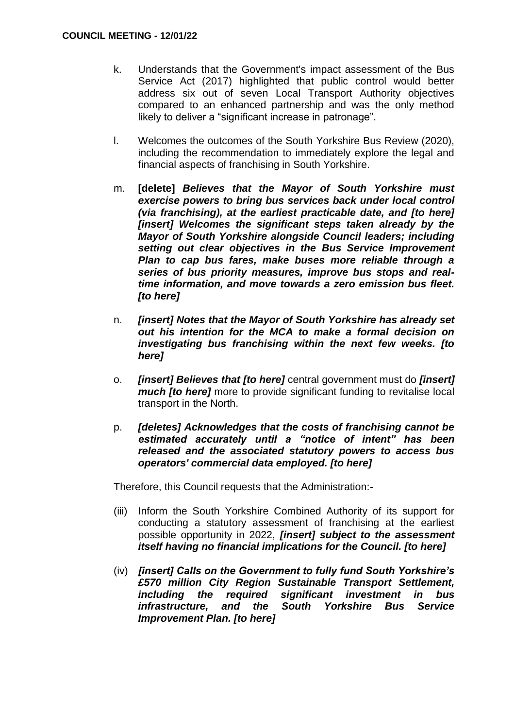- k. Understands that the Government's impact assessment of the Bus Service Act (2017) highlighted that public control would better address six out of seven Local Transport Authority objectives compared to an enhanced partnership and was the only method likely to deliver a "significant increase in patronage".
- l. Welcomes the outcomes of the South Yorkshire Bus Review (2020), including the recommendation to immediately explore the legal and financial aspects of franchising in South Yorkshire.
- m. **[delete]** *Believes that the Mayor of South Yorkshire must exercise powers to bring bus services back under local control (via franchising), at the earliest practicable date, and [to here] [insert] Welcomes the significant steps taken already by the Mayor of South Yorkshire alongside Council leaders; including setting out clear objectives in the Bus Service Improvement Plan to cap bus fares, make buses more reliable through a series of bus priority measures, improve bus stops and realtime information, and move towards a zero emission bus fleet. [to here]*
- n. *[insert] Notes that the Mayor of South Yorkshire has already set out his intention for the MCA to make a formal decision on investigating bus franchising within the next few weeks. [to here]*
- o. *[insert] Believes that [to here]* central government must do *[insert] much [to here]* more to provide significant funding to revitalise local transport in the North.
- p. *[deletes] Acknowledges that the costs of franchising cannot be estimated accurately until a "notice of intent" has been released and the associated statutory powers to access bus operators' commercial data employed. [to here]*

Therefore, this Council requests that the Administration:-

- (iii) Inform the South Yorkshire Combined Authority of its support for conducting a statutory assessment of franchising at the earliest possible opportunity in 2022, *[insert] subject to the assessment itself having no financial implications for the Council. [to here]*
- (iv) *[insert] Calls on the Government to fully fund South Yorkshire's £570 million City Region Sustainable Transport Settlement, including the required significant investment in bus infrastructure, and the South Yorkshire Bus Service Improvement Plan. [to here]*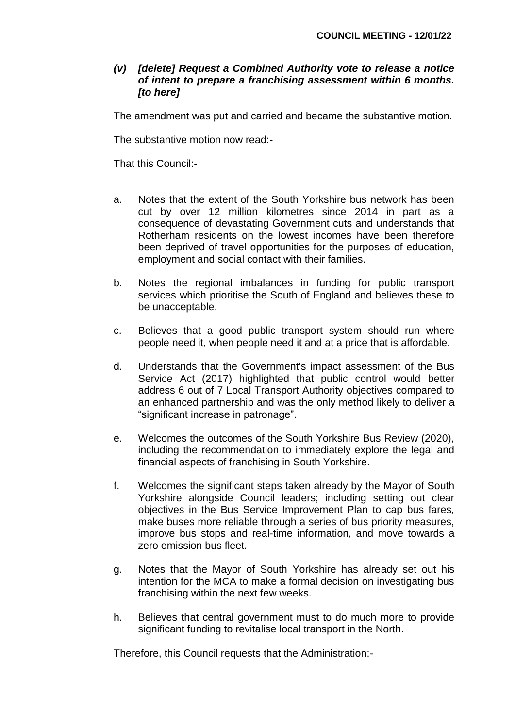# *(v) [delete] Request a Combined Authority vote to release a notice of intent to prepare a franchising assessment within 6 months. [to here]*

The amendment was put and carried and became the substantive motion.

The substantive motion now read:-

That this Council:-

- a. Notes that the extent of the South Yorkshire bus network has been cut by over 12 million kilometres since 2014 in part as a consequence of devastating Government cuts and understands that Rotherham residents on the lowest incomes have been therefore been deprived of travel opportunities for the purposes of education, employment and social contact with their families.
- b. Notes the regional imbalances in funding for public transport services which prioritise the South of England and believes these to be unacceptable.
- c. Believes that a good public transport system should run where people need it, when people need it and at a price that is affordable.
- d. Understands that the Government's impact assessment of the Bus Service Act (2017) highlighted that public control would better address 6 out of 7 Local Transport Authority objectives compared to an enhanced partnership and was the only method likely to deliver a "significant increase in patronage".
- e. Welcomes the outcomes of the South Yorkshire Bus Review (2020), including the recommendation to immediately explore the legal and financial aspects of franchising in South Yorkshire.
- f. Welcomes the significant steps taken already by the Mayor of South Yorkshire alongside Council leaders; including setting out clear objectives in the Bus Service Improvement Plan to cap bus fares, make buses more reliable through a series of bus priority measures, improve bus stops and real-time information, and move towards a zero emission bus fleet.
- g. Notes that the Mayor of South Yorkshire has already set out his intention for the MCA to make a formal decision on investigating bus franchising within the next few weeks.
- h. Believes that central government must to do much more to provide significant funding to revitalise local transport in the North.

Therefore, this Council requests that the Administration:-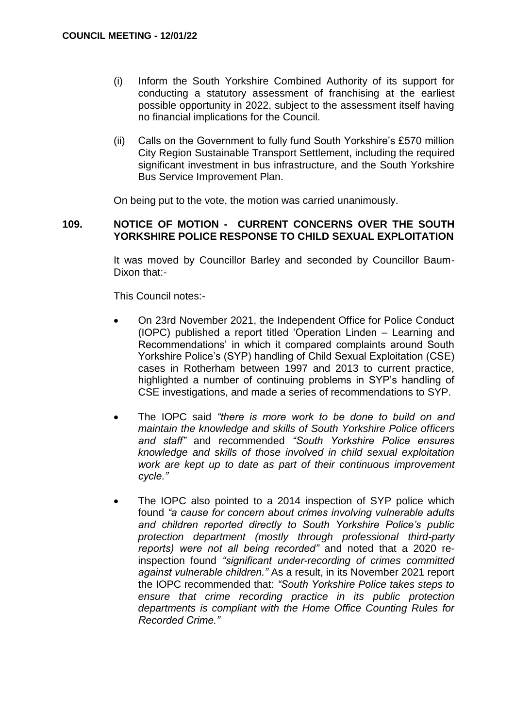- (i) Inform the South Yorkshire Combined Authority of its support for conducting a statutory assessment of franchising at the earliest possible opportunity in 2022, subject to the assessment itself having no financial implications for the Council.
- (ii) Calls on the Government to fully fund South Yorkshire's £570 million City Region Sustainable Transport Settlement, including the required significant investment in bus infrastructure, and the South Yorkshire Bus Service Improvement Plan.

On being put to the vote, the motion was carried unanimously.

## **109. NOTICE OF MOTION - CURRENT CONCERNS OVER THE SOUTH YORKSHIRE POLICE RESPONSE TO CHILD SEXUAL EXPLOITATION**

It was moved by Councillor Barley and seconded by Councillor Baum-Dixon that:-

This Council notes:-

- On 23rd November 2021, the Independent Office for Police Conduct (IOPC) published a report titled 'Operation Linden – Learning and Recommendations' in which it compared complaints around South Yorkshire Police's (SYP) handling of Child Sexual Exploitation (CSE) cases in Rotherham between 1997 and 2013 to current practice, highlighted a number of continuing problems in SYP's handling of CSE investigations, and made a series of recommendations to SYP.
- The IOPC said *"there is more work to be done to build on and maintain the knowledge and skills of South Yorkshire Police officers and staff"* and recommended *"South Yorkshire Police ensures knowledge and skills of those involved in child sexual exploitation work are kept up to date as part of their continuous improvement cycle."*
- The IOPC also pointed to a 2014 inspection of SYP police which found *"a cause for concern about crimes involving vulnerable adults and children reported directly to South Yorkshire Police's public protection department (mostly through professional third-party reports) were not all being recorded"* and noted that a 2020 reinspection found *"significant under-recording of crimes committed against vulnerable children."* As a result, in its November 2021 report the IOPC recommended that: *"South Yorkshire Police takes steps to ensure that crime recording practice in its public protection departments is compliant with the Home Office Counting Rules for Recorded Crime."*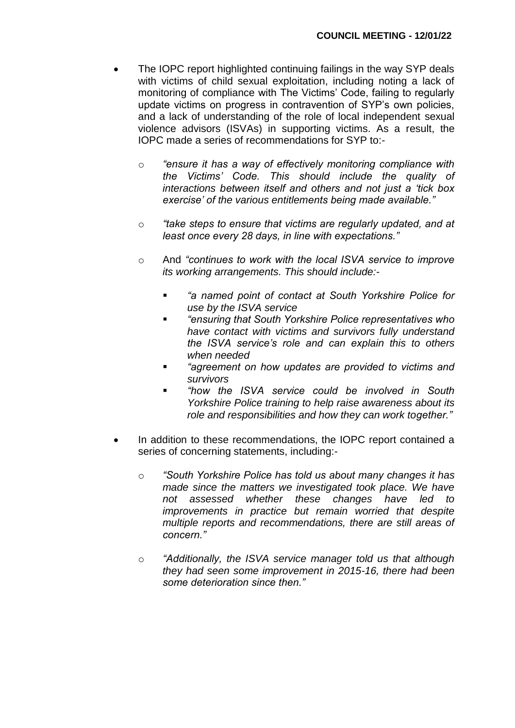- The IOPC report highlighted continuing failings in the way SYP deals with victims of child sexual exploitation, including noting a lack of monitoring of compliance with The Victims' Code, failing to regularly update victims on progress in contravention of SYP's own policies, and a lack of understanding of the role of local independent sexual violence advisors (ISVAs) in supporting victims. As a result, the IOPC made a series of recommendations for SYP to:
	- o *"ensure it has a way of effectively monitoring compliance with the Victims' Code. This should include the quality of interactions between itself and others and not just a 'tick box exercise' of the various entitlements being made available."*
	- o *"take steps to ensure that victims are regularly updated, and at least once every 28 days, in line with expectations."*
	- o And *"continues to work with the local ISVA service to improve its working arrangements. This should include:-*
		- *"a named point of contact at South Yorkshire Police for use by the ISVA service*
		- *"ensuring that South Yorkshire Police representatives who have contact with victims and survivors fully understand the ISVA service's role and can explain this to others when needed*
		- *"agreement on how updates are provided to victims and survivors*
		- *"how the ISVA service could be involved in South Yorkshire Police training to help raise awareness about its role and responsibilities and how they can work together."*
- In addition to these recommendations, the IOPC report contained a series of concerning statements, including:
	- o *"South Yorkshire Police has told us about many changes it has made since the matters we investigated took place. We have not assessed whether these changes have led to improvements in practice but remain worried that despite multiple reports and recommendations, there are still areas of concern."*
	- o *"Additionally, the ISVA service manager told us that although they had seen some improvement in 2015-16, there had been some deterioration since then."*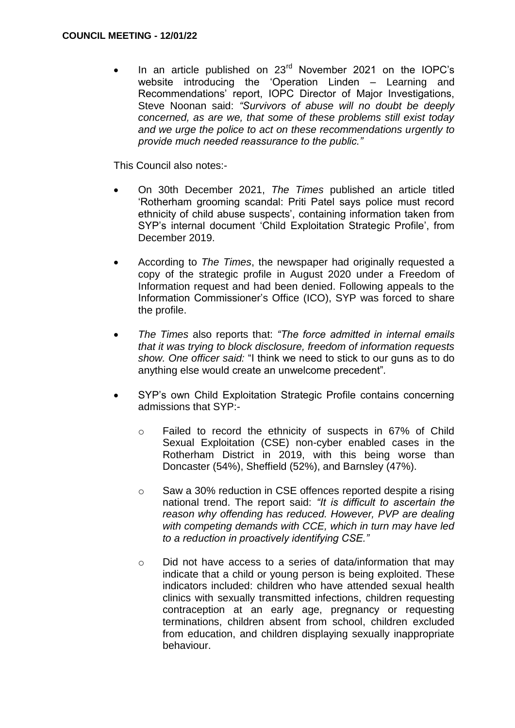In an article published on 23<sup>rd</sup> November 2021 on the IOPC's website introducing the 'Operation Linden – Learning and Recommendations' report, IOPC Director of Major Investigations, Steve Noonan said: *"Survivors of abuse will no doubt be deeply concerned, as are we, that some of these problems still exist today and we urge the police to act on these recommendations urgently to provide much needed reassurance to the public."*

This Council also notes:-

- On 30th December 2021, *The Times* published an article titled 'Rotherham grooming scandal: Priti Patel says police must record ethnicity of child abuse suspects', containing information taken from SYP's internal document 'Child Exploitation Strategic Profile', from December 2019.
- According to *The Times*, the newspaper had originally requested a copy of the strategic profile in August 2020 under a Freedom of Information request and had been denied. Following appeals to the Information Commissioner's Office (ICO), SYP was forced to share the profile.
- *The Times* also reports that: *"The force admitted in internal emails that it was trying to block disclosure, freedom of information requests show. One officer said:* "I think we need to stick to our guns as to do anything else would create an unwelcome precedent"*.*
- SYP's own Child Exploitation Strategic Profile contains concerning admissions that SYP:
	- o Failed to record the ethnicity of suspects in 67% of Child Sexual Exploitation (CSE) non-cyber enabled cases in the Rotherham District in 2019, with this being worse than Doncaster (54%), Sheffield (52%), and Barnsley (47%).
	- o Saw a 30% reduction in CSE offences reported despite a rising national trend. The report said: *"It is difficult to ascertain the reason why offending has reduced. However, PVP are dealing with competing demands with CCE, which in turn may have led to a reduction in proactively identifying CSE."*
	- o Did not have access to a series of data/information that may indicate that a child or young person is being exploited. These indicators included: children who have attended sexual health clinics with sexually transmitted infections, children requesting contraception at an early age, pregnancy or requesting terminations, children absent from school, children excluded from education, and children displaying sexually inappropriate behaviour.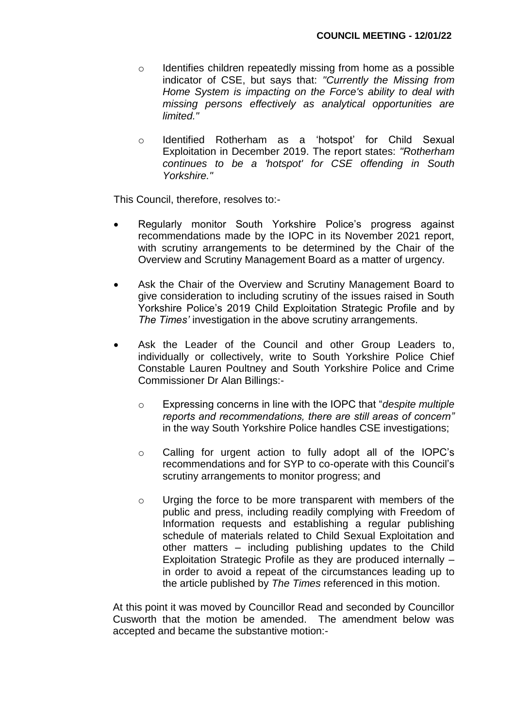- o Identifies children repeatedly missing from home as a possible indicator of CSE, but says that: *"Currently the Missing from Home System is impacting on the Force's ability to deal with missing persons effectively as analytical opportunities are limited."*
- o Identified Rotherham as a 'hotspot' for Child Sexual Exploitation in December 2019. The report states: *"Rotherham continues to be a 'hotspot' for CSE offending in South Yorkshire."*

This Council, therefore, resolves to:-

- Regularly monitor South Yorkshire Police's progress against recommendations made by the IOPC in its November 2021 report, with scrutiny arrangements to be determined by the Chair of the Overview and Scrutiny Management Board as a matter of urgency.
- Ask the Chair of the Overview and Scrutiny Management Board to give consideration to including scrutiny of the issues raised in South Yorkshire Police's 2019 Child Exploitation Strategic Profile and by *The Times'* investigation in the above scrutiny arrangements.
- Ask the Leader of the Council and other Group Leaders to, individually or collectively, write to South Yorkshire Police Chief Constable Lauren Poultney and South Yorkshire Police and Crime Commissioner Dr Alan Billings:
	- o Expressing concerns in line with the IOPC that "*despite multiple reports and recommendations, there are still areas of concern"* in the way South Yorkshire Police handles CSE investigations;
	- o Calling for urgent action to fully adopt all of the IOPC's recommendations and for SYP to co-operate with this Council's scrutiny arrangements to monitor progress; and
	- o Urging the force to be more transparent with members of the public and press, including readily complying with Freedom of Information requests and establishing a regular publishing schedule of materials related to Child Sexual Exploitation and other matters – including publishing updates to the Child Exploitation Strategic Profile as they are produced internally – in order to avoid a repeat of the circumstances leading up to the article published by *The Times* referenced in this motion.

At this point it was moved by Councillor Read and seconded by Councillor Cusworth that the motion be amended. The amendment below was accepted and became the substantive motion:-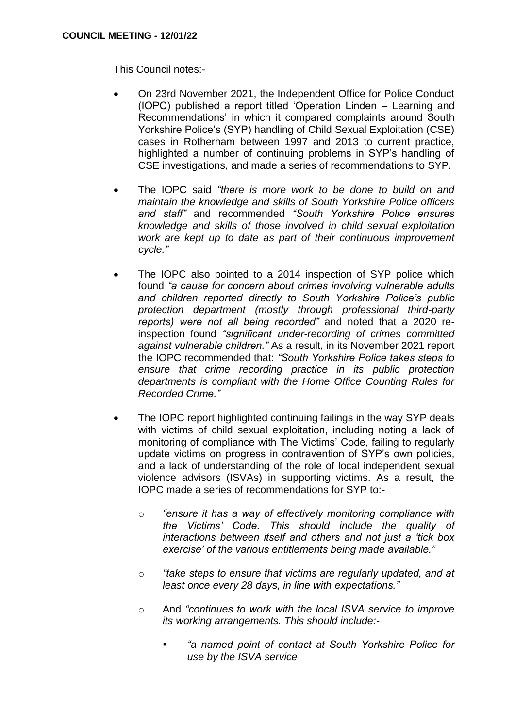This Council notes:-

- On 23rd November 2021, the Independent Office for Police Conduct (IOPC) published a report titled 'Operation Linden – Learning and Recommendations' in which it compared complaints around South Yorkshire Police's (SYP) handling of Child Sexual Exploitation (CSE) cases in Rotherham between 1997 and 2013 to current practice, highlighted a number of continuing problems in SYP's handling of CSE investigations, and made a series of recommendations to SYP.
- The IOPC said *"there is more work to be done to build on and maintain the knowledge and skills of South Yorkshire Police officers and staff"* and recommended *"South Yorkshire Police ensures knowledge and skills of those involved in child sexual exploitation work are kept up to date as part of their continuous improvement cycle."*
- The IOPC also pointed to a 2014 inspection of SYP police which found *"a cause for concern about crimes involving vulnerable adults and children reported directly to South Yorkshire Police's public protection department (mostly through professional third-party reports) were not all being recorded"* and noted that a 2020 reinspection found *"significant under-recording of crimes committed against vulnerable children."* As a result, in its November 2021 report the IOPC recommended that: *"South Yorkshire Police takes steps to ensure that crime recording practice in its public protection departments is compliant with the Home Office Counting Rules for Recorded Crime."*
- The IOPC report highlighted continuing failings in the way SYP deals with victims of child sexual exploitation, including noting a lack of monitoring of compliance with The Victims' Code, failing to regularly update victims on progress in contravention of SYP's own policies, and a lack of understanding of the role of local independent sexual violence advisors (ISVAs) in supporting victims. As a result, the IOPC made a series of recommendations for SYP to:
	- o *"ensure it has a way of effectively monitoring compliance with the Victims' Code. This should include the quality of interactions between itself and others and not just a 'tick box exercise' of the various entitlements being made available."*
	- o *"take steps to ensure that victims are regularly updated, and at least once every 28 days, in line with expectations."*
	- o And *"continues to work with the local ISVA service to improve its working arrangements. This should include:-*
		- *"a named point of contact at South Yorkshire Police for use by the ISVA service*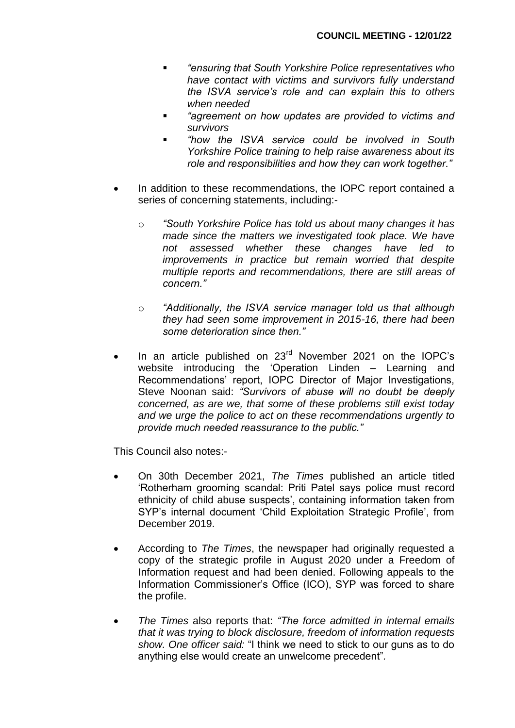- *"ensuring that South Yorkshire Police representatives who have contact with victims and survivors fully understand the ISVA service's role and can explain this to others when needed*
- *"agreement on how updates are provided to victims and survivors*
- *"how the ISVA service could be involved in South Yorkshire Police training to help raise awareness about its role and responsibilities and how they can work together."*
- In addition to these recommendations, the IOPC report contained a series of concerning statements, including:
	- o *"South Yorkshire Police has told us about many changes it has made since the matters we investigated took place. We have not assessed whether these changes have led to improvements in practice but remain worried that despite multiple reports and recommendations, there are still areas of concern."*
	- o *"Additionally, the ISVA service manager told us that although they had seen some improvement in 2015-16, there had been some deterioration since then."*
- In an article published on 23<sup>rd</sup> November 2021 on the IOPC's website introducing the 'Operation Linden – Learning and Recommendations' report, IOPC Director of Major Investigations, Steve Noonan said: *"Survivors of abuse will no doubt be deeply concerned, as are we, that some of these problems still exist today and we urge the police to act on these recommendations urgently to provide much needed reassurance to the public."*

This Council also notes:-

- On 30th December 2021, *The Times* published an article titled 'Rotherham grooming scandal: Priti Patel says police must record ethnicity of child abuse suspects', containing information taken from SYP's internal document 'Child Exploitation Strategic Profile', from December 2019.
- According to *The Times*, the newspaper had originally requested a copy of the strategic profile in August 2020 under a Freedom of Information request and had been denied. Following appeals to the Information Commissioner's Office (ICO), SYP was forced to share the profile.
- *The Times* also reports that: *"The force admitted in internal emails that it was trying to block disclosure, freedom of information requests show. One officer said:* "I think we need to stick to our guns as to do anything else would create an unwelcome precedent"*.*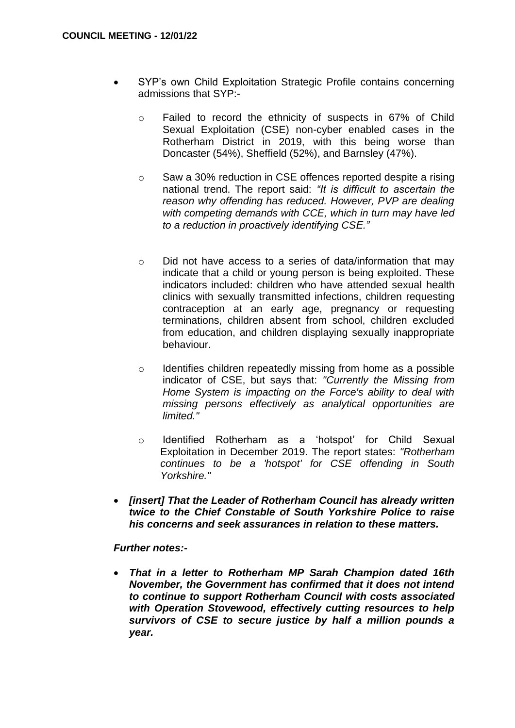- SYP's own Child Exploitation Strategic Profile contains concerning admissions that SYP:
	- o Failed to record the ethnicity of suspects in 67% of Child Sexual Exploitation (CSE) non-cyber enabled cases in the Rotherham District in 2019, with this being worse than Doncaster (54%), Sheffield (52%), and Barnsley (47%).
	- $\circ$  Saw a 30% reduction in CSE offences reported despite a rising national trend. The report said: *"It is difficult to ascertain the reason why offending has reduced. However, PVP are dealing with competing demands with CCE, which in turn may have led to a reduction in proactively identifying CSE."*
	- o Did not have access to a series of data/information that may indicate that a child or young person is being exploited. These indicators included: children who have attended sexual health clinics with sexually transmitted infections, children requesting contraception at an early age, pregnancy or requesting terminations, children absent from school, children excluded from education, and children displaying sexually inappropriate behaviour.
	- o Identifies children repeatedly missing from home as a possible indicator of CSE, but says that: *"Currently the Missing from Home System is impacting on the Force's ability to deal with missing persons effectively as analytical opportunities are limited."*
	- o Identified Rotherham as a 'hotspot' for Child Sexual Exploitation in December 2019. The report states: *"Rotherham continues to be a 'hotspot' for CSE offending in South Yorkshire."*
- *[insert] That the Leader of Rotherham Council has already written twice to the Chief Constable of South Yorkshire Police to raise his concerns and seek assurances in relation to these matters.*

# *Further notes:-*

 *That in a letter to Rotherham MP Sarah Champion dated 16th November, the Government has confirmed that it does not intend to continue to support Rotherham Council with costs associated with Operation Stovewood, effectively cutting resources to help survivors of CSE to secure justice by half a million pounds a year.*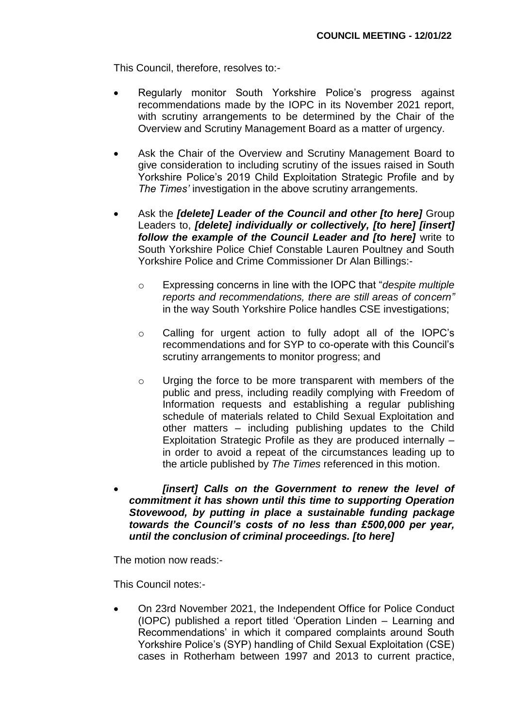This Council, therefore, resolves to:-

- Regularly monitor South Yorkshire Police's progress against recommendations made by the IOPC in its November 2021 report, with scrutiny arrangements to be determined by the Chair of the Overview and Scrutiny Management Board as a matter of urgency.
- Ask the Chair of the Overview and Scrutiny Management Board to give consideration to including scrutiny of the issues raised in South Yorkshire Police's 2019 Child Exploitation Strategic Profile and by *The Times'* investigation in the above scrutiny arrangements.
- Ask the *[delete] Leader of the Council and other [to here]* Group Leaders to, *[delete] individually or collectively, [to here] [insert] follow the example of the Council Leader and [to here]* write to South Yorkshire Police Chief Constable Lauren Poultney and South Yorkshire Police and Crime Commissioner Dr Alan Billings:
	- o Expressing concerns in line with the IOPC that "*despite multiple reports and recommendations, there are still areas of concern"* in the way South Yorkshire Police handles CSE investigations;
	- o Calling for urgent action to fully adopt all of the IOPC's recommendations and for SYP to co-operate with this Council's scrutiny arrangements to monitor progress; and
	- o Urging the force to be more transparent with members of the public and press, including readily complying with Freedom of Information requests and establishing a regular publishing schedule of materials related to Child Sexual Exploitation and other matters – including publishing updates to the Child Exploitation Strategic Profile as they are produced internally – in order to avoid a repeat of the circumstances leading up to the article published by *The Times* referenced in this motion.
- *[insert] Calls on the Government to renew the level of commitment it has shown until this time to supporting Operation Stovewood, by putting in place a sustainable funding package towards the Council's costs of no less than £500,000 per year, until the conclusion of criminal proceedings. [to here]*

The motion now reads:-

This Council notes:-

 On 23rd November 2021, the Independent Office for Police Conduct (IOPC) published a report titled 'Operation Linden – Learning and Recommendations' in which it compared complaints around South Yorkshire Police's (SYP) handling of Child Sexual Exploitation (CSE) cases in Rotherham between 1997 and 2013 to current practice,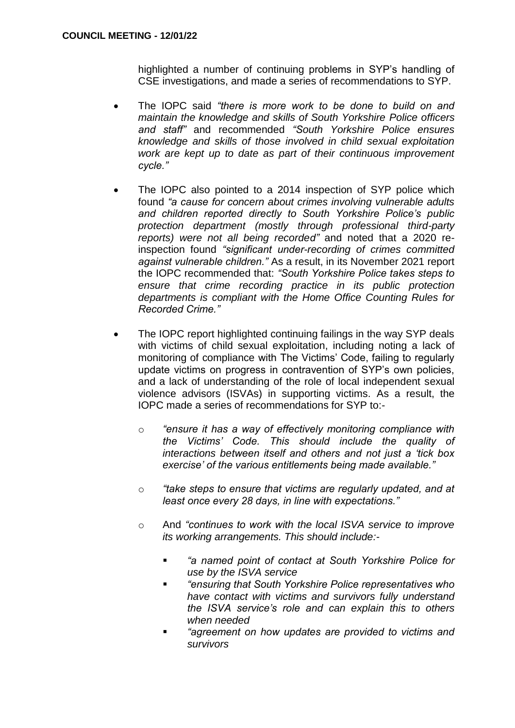highlighted a number of continuing problems in SYP's handling of CSE investigations, and made a series of recommendations to SYP.

- The IOPC said *"there is more work to be done to build on and maintain the knowledge and skills of South Yorkshire Police officers and staff"* and recommended *"South Yorkshire Police ensures knowledge and skills of those involved in child sexual exploitation work are kept up to date as part of their continuous improvement cycle."*
- The IOPC also pointed to a 2014 inspection of SYP police which found *"a cause for concern about crimes involving vulnerable adults and children reported directly to South Yorkshire Police's public protection department (mostly through professional third-party reports) were not all being recorded"* and noted that a 2020 reinspection found *"significant under-recording of crimes committed against vulnerable children."* As a result, in its November 2021 report the IOPC recommended that: *"South Yorkshire Police takes steps to ensure that crime recording practice in its public protection departments is compliant with the Home Office Counting Rules for Recorded Crime."*
- The IOPC report highlighted continuing failings in the way SYP deals with victims of child sexual exploitation, including noting a lack of monitoring of compliance with The Victims' Code, failing to regularly update victims on progress in contravention of SYP's own policies, and a lack of understanding of the role of local independent sexual violence advisors (ISVAs) in supporting victims. As a result, the IOPC made a series of recommendations for SYP to:
	- o *"ensure it has a way of effectively monitoring compliance with the Victims' Code. This should include the quality of interactions between itself and others and not just a 'tick box exercise' of the various entitlements being made available."*
	- o *"take steps to ensure that victims are regularly updated, and at least once every 28 days, in line with expectations."*
	- o And *"continues to work with the local ISVA service to improve its working arrangements. This should include:-*
		- *"a named point of contact at South Yorkshire Police for use by the ISVA service*
		- *"ensuring that South Yorkshire Police representatives who have contact with victims and survivors fully understand the ISVA service's role and can explain this to others when needed*
		- *"agreement on how updates are provided to victims and survivors*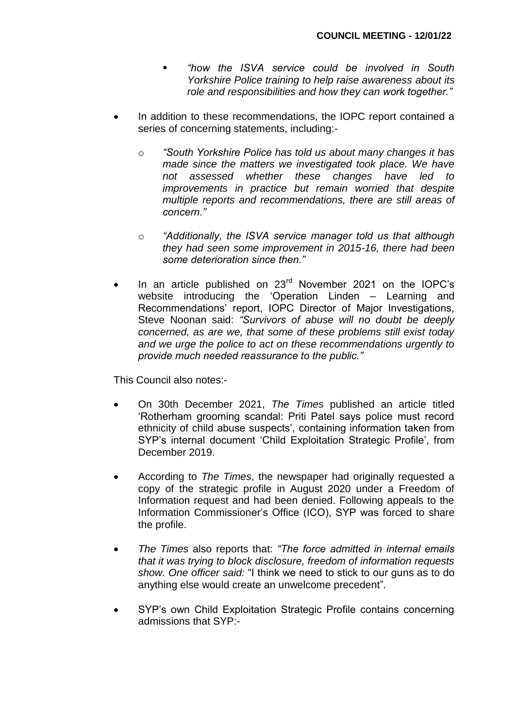- *"how the ISVA service could be involved in South Yorkshire Police training to help raise awareness about its role and responsibilities and how they can work together."*
- In addition to these recommendations, the IOPC report contained a series of concerning statements, including:
	- o *"South Yorkshire Police has told us about many changes it has made since the matters we investigated took place. We have not assessed whether these changes have led to improvements in practice but remain worried that despite multiple reports and recommendations, there are still areas of concern."*
	- o *"Additionally, the ISVA service manager told us that although they had seen some improvement in 2015-16, there had been some deterioration since then."*
- In an article published on 23<sup>rd</sup> November 2021 on the IOPC's website introducing the 'Operation Linden – Learning and Recommendations' report, IOPC Director of Major Investigations, Steve Noonan said: *"Survivors of abuse will no doubt be deeply concerned, as are we, that some of these problems still exist today and we urge the police to act on these recommendations urgently to provide much needed reassurance to the public."*

This Council also notes:-

- On 30th December 2021, *The Times* published an article titled 'Rotherham grooming scandal: Priti Patel says police must record ethnicity of child abuse suspects', containing information taken from SYP's internal document 'Child Exploitation Strategic Profile', from December 2019.
- According to *The Times*, the newspaper had originally requested a copy of the strategic profile in August 2020 under a Freedom of Information request and had been denied. Following appeals to the Information Commissioner's Office (ICO), SYP was forced to share the profile.
- *The Times* also reports that: *"The force admitted in internal emails that it was trying to block disclosure, freedom of information requests show. One officer said:* "I think we need to stick to our guns as to do anything else would create an unwelcome precedent"*.*
- SYP's own Child Exploitation Strategic Profile contains concerning admissions that SYP:-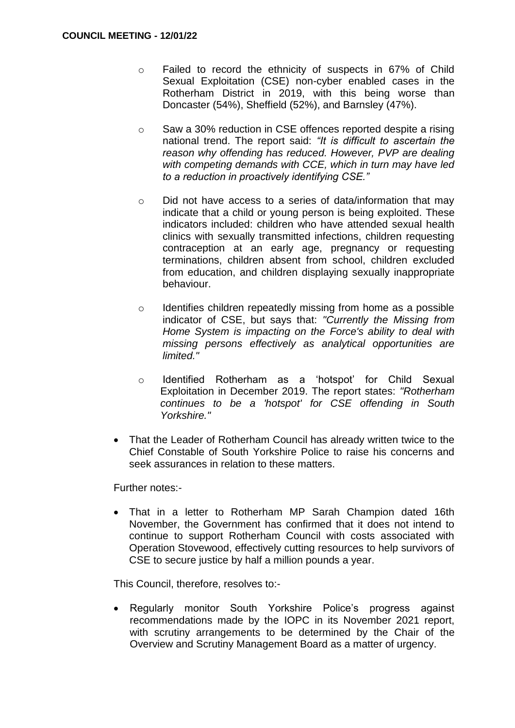- o Failed to record the ethnicity of suspects in 67% of Child Sexual Exploitation (CSE) non-cyber enabled cases in the Rotherham District in 2019, with this being worse than Doncaster (54%), Sheffield (52%), and Barnsley (47%).
- $\circ$  Saw a 30% reduction in CSE offences reported despite a rising national trend. The report said: *"It is difficult to ascertain the reason why offending has reduced. However, PVP are dealing with competing demands with CCE, which in turn may have led to a reduction in proactively identifying CSE."*
- o Did not have access to a series of data/information that may indicate that a child or young person is being exploited. These indicators included: children who have attended sexual health clinics with sexually transmitted infections, children requesting contraception at an early age, pregnancy or requesting terminations, children absent from school, children excluded from education, and children displaying sexually inappropriate behaviour.
- o Identifies children repeatedly missing from home as a possible indicator of CSE, but says that: *"Currently the Missing from Home System is impacting on the Force's ability to deal with missing persons effectively as analytical opportunities are limited."*
- o Identified Rotherham as a 'hotspot' for Child Sexual Exploitation in December 2019. The report states: *"Rotherham continues to be a 'hotspot' for CSE offending in South Yorkshire."*
- That the Leader of Rotherham Council has already written twice to the Chief Constable of South Yorkshire Police to raise his concerns and seek assurances in relation to these matters.

Further notes:-

 That in a letter to Rotherham MP Sarah Champion dated 16th November, the Government has confirmed that it does not intend to continue to support Rotherham Council with costs associated with Operation Stovewood, effectively cutting resources to help survivors of CSE to secure justice by half a million pounds a year.

This Council, therefore, resolves to:-

 Regularly monitor South Yorkshire Police's progress against recommendations made by the IOPC in its November 2021 report, with scrutiny arrangements to be determined by the Chair of the Overview and Scrutiny Management Board as a matter of urgency.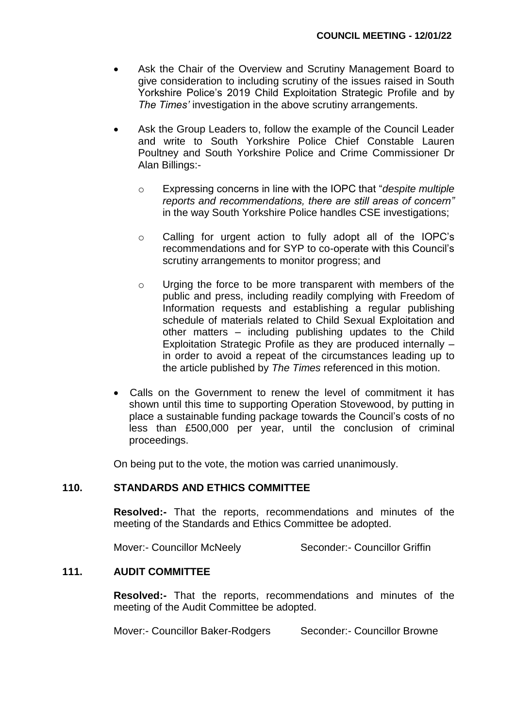- Ask the Chair of the Overview and Scrutiny Management Board to give consideration to including scrutiny of the issues raised in South Yorkshire Police's 2019 Child Exploitation Strategic Profile and by *The Times'* investigation in the above scrutiny arrangements.
- Ask the Group Leaders to, follow the example of the Council Leader and write to South Yorkshire Police Chief Constable Lauren Poultney and South Yorkshire Police and Crime Commissioner Dr Alan Billings:
	- o Expressing concerns in line with the IOPC that "*despite multiple reports and recommendations, there are still areas of concern"* in the way South Yorkshire Police handles CSE investigations;
	- o Calling for urgent action to fully adopt all of the IOPC's recommendations and for SYP to co-operate with this Council's scrutiny arrangements to monitor progress; and
	- o Urging the force to be more transparent with members of the public and press, including readily complying with Freedom of Information requests and establishing a regular publishing schedule of materials related to Child Sexual Exploitation and other matters – including publishing updates to the Child Exploitation Strategic Profile as they are produced internally – in order to avoid a repeat of the circumstances leading up to the article published by *The Times* referenced in this motion.
- Calls on the Government to renew the level of commitment it has shown until this time to supporting Operation Stovewood, by putting in place a sustainable funding package towards the Council's costs of no less than £500,000 per year, until the conclusion of criminal proceedings.

On being put to the vote, the motion was carried unanimously.

# **110. STANDARDS AND ETHICS COMMITTEE**

**Resolved:-** That the reports, recommendations and minutes of the meeting of the Standards and Ethics Committee be adopted.

Mover:- Councillor McNeely Seconder:- Councillor Griffin

### **111. AUDIT COMMITTEE**

**Resolved:-** That the reports, recommendations and minutes of the meeting of the Audit Committee be adopted.

Mover:- Councillor Baker-Rodgers Seconder:- Councillor Browne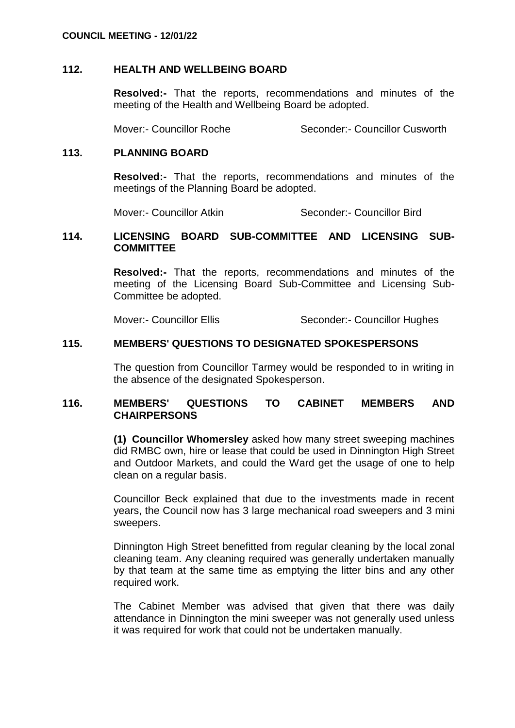### **112. HEALTH AND WELLBEING BOARD**

**Resolved:-** That the reports, recommendations and minutes of the meeting of the Health and Wellbeing Board be adopted.

Mover:- Councillor Roche Seconder:- Councillor Cusworth

### **113. PLANNING BOARD**

**Resolved:-** That the reports, recommendations and minutes of the meetings of the Planning Board be adopted.

Mover:- Councillor Atkin Seconder:- Councillor Bird

### **114. LICENSING BOARD SUB-COMMITTEE AND LICENSING SUB-COMMITTEE**

**Resolved:-** Tha**t** the reports, recommendations and minutes of the meeting of the Licensing Board Sub-Committee and Licensing Sub-Committee be adopted.

Mover:- Councillor Ellis Seconder:- Councillor Hughes

# **115. MEMBERS' QUESTIONS TO DESIGNATED SPOKESPERSONS**

The question from Councillor Tarmey would be responded to in writing in the absence of the designated Spokesperson.

### **116. MEMBERS' QUESTIONS TO CABINET MEMBERS AND CHAIRPERSONS**

**(1) Councillor Whomersley** asked how many street sweeping machines did RMBC own, hire or lease that could be used in Dinnington High Street and Outdoor Markets, and could the Ward get the usage of one to help clean on a regular basis.

Councillor Beck explained that due to the investments made in recent years, the Council now has 3 large mechanical road sweepers and 3 mini sweepers.

Dinnington High Street benefitted from regular cleaning by the local zonal cleaning team. Any cleaning required was generally undertaken manually by that team at the same time as emptying the litter bins and any other required work.

The Cabinet Member was advised that given that there was daily attendance in Dinnington the mini sweeper was not generally used unless it was required for work that could not be undertaken manually.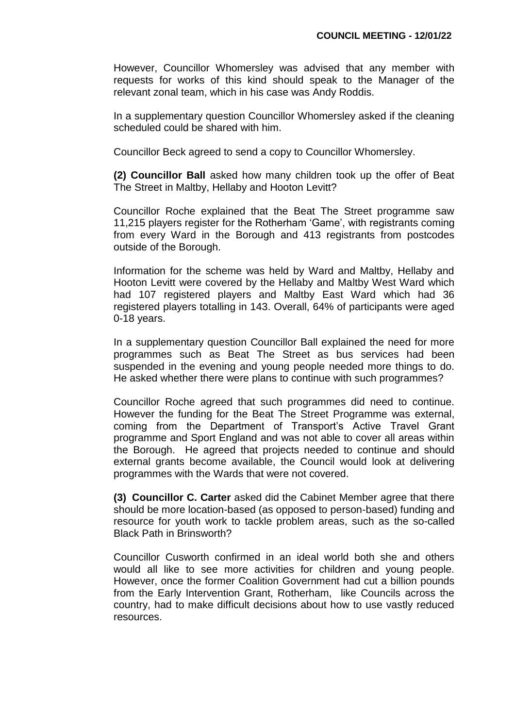However, Councillor Whomersley was advised that any member with requests for works of this kind should speak to the Manager of the relevant zonal team, which in his case was Andy Roddis.

In a supplementary question Councillor Whomersley asked if the cleaning scheduled could be shared with him.

Councillor Beck agreed to send a copy to Councillor Whomersley.

**(2) Councillor Ball** asked how many children took up the offer of Beat The Street in Maltby, Hellaby and Hooton Levitt?

Councillor Roche explained that the Beat The Street programme saw 11,215 players register for the Rotherham 'Game', with registrants coming from every Ward in the Borough and 413 registrants from postcodes outside of the Borough.

Information for the scheme was held by Ward and Maltby, Hellaby and Hooton Levitt were covered by the Hellaby and Maltby West Ward which had 107 registered players and Maltby East Ward which had 36 registered players totalling in 143. Overall, 64% of participants were aged 0-18 years.

In a supplementary question Councillor Ball explained the need for more programmes such as Beat The Street as bus services had been suspended in the evening and young people needed more things to do. He asked whether there were plans to continue with such programmes?

Councillor Roche agreed that such programmes did need to continue. However the funding for the Beat The Street Programme was external, coming from the Department of Transport's Active Travel Grant programme and Sport England and was not able to cover all areas within the Borough. He agreed that projects needed to continue and should external grants become available, the Council would look at delivering programmes with the Wards that were not covered.

**(3) Councillor C. Carter** asked did the Cabinet Member agree that there should be more location-based (as opposed to person-based) funding and resource for youth work to tackle problem areas, such as the so-called Black Path in Brinsworth?

Councillor Cusworth confirmed in an ideal world both she and others would all like to see more activities for children and young people. However, once the former Coalition Government had cut a billion pounds from the Early Intervention Grant, Rotherham, like Councils across the country, had to make difficult decisions about how to use vastly reduced resources.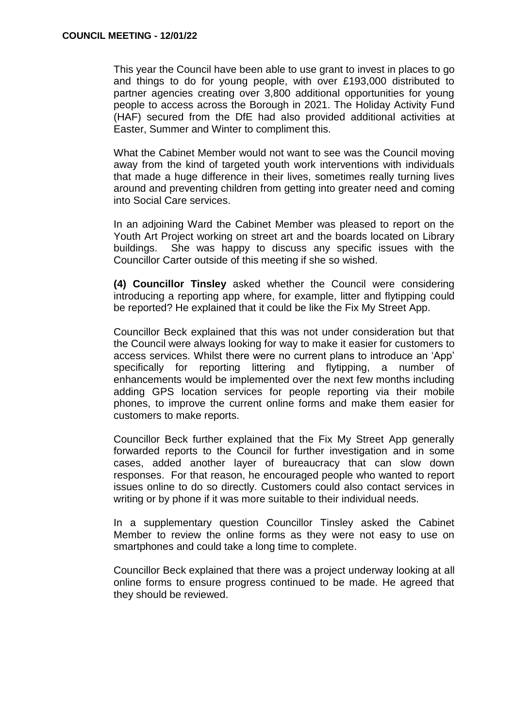This year the Council have been able to use grant to invest in places to go and things to do for young people, with over £193,000 distributed to partner agencies creating over 3,800 additional opportunities for young people to access across the Borough in 2021. The Holiday Activity Fund (HAF) secured from the DfE had also provided additional activities at Easter, Summer and Winter to compliment this.

What the Cabinet Member would not want to see was the Council moving away from the kind of targeted youth work interventions with individuals that made a huge difference in their lives, sometimes really turning lives around and preventing children from getting into greater need and coming into Social Care services.

In an adjoining Ward the Cabinet Member was pleased to report on the Youth Art Project working on street art and the boards located on Library buildings. She was happy to discuss any specific issues with the Councillor Carter outside of this meeting if she so wished.

**(4) Councillor Tinsley** asked whether the Council were considering introducing a reporting app where, for example, litter and flytipping could be reported? He explained that it could be like the Fix My Street App.

Councillor Beck explained that this was not under consideration but that the Council were always looking for way to make it easier for customers to access services. Whilst there were no current plans to introduce an 'App' specifically for reporting littering and flytipping, a number of enhancements would be implemented over the next few months including adding GPS location services for people reporting via their mobile phones, to improve the current online forms and make them easier for customers to make reports.

Councillor Beck further explained that the Fix My Street App generally forwarded reports to the Council for further investigation and in some cases, added another layer of bureaucracy that can slow down responses. For that reason, he encouraged people who wanted to report issues online to do so directly. Customers could also contact services in writing or by phone if it was more suitable to their individual needs.

In a supplementary question Councillor Tinsley asked the Cabinet Member to review the online forms as they were not easy to use on smartphones and could take a long time to complete.

Councillor Beck explained that there was a project underway looking at all online forms to ensure progress continued to be made. He agreed that they should be reviewed.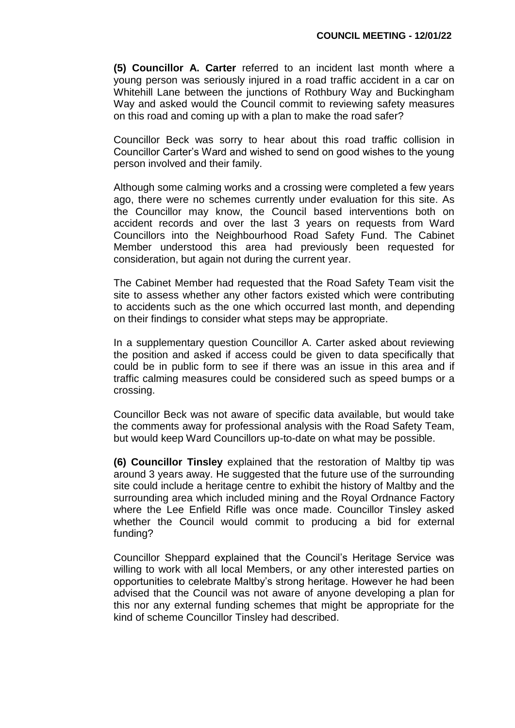**(5) Councillor A. Carter** referred to an incident last month where a young person was seriously injured in a road traffic accident in a car on Whitehill Lane between the junctions of Rothbury Way and Buckingham Way and asked would the Council commit to reviewing safety measures on this road and coming up with a plan to make the road safer?

Councillor Beck was sorry to hear about this road traffic collision in Councillor Carter's Ward and wished to send on good wishes to the young person involved and their family.

Although some calming works and a crossing were completed a few years ago, there were no schemes currently under evaluation for this site. As the Councillor may know, the Council based interventions both on accident records and over the last 3 years on requests from Ward Councillors into the Neighbourhood Road Safety Fund. The Cabinet Member understood this area had previously been requested for consideration, but again not during the current year.

The Cabinet Member had requested that the Road Safety Team visit the site to assess whether any other factors existed which were contributing to accidents such as the one which occurred last month, and depending on their findings to consider what steps may be appropriate.

In a supplementary question Councillor A. Carter asked about reviewing the position and asked if access could be given to data specifically that could be in public form to see if there was an issue in this area and if traffic calming measures could be considered such as speed bumps or a crossing.

Councillor Beck was not aware of specific data available, but would take the comments away for professional analysis with the Road Safety Team, but would keep Ward Councillors up-to-date on what may be possible.

**(6) Councillor Tinsley** explained that the restoration of Maltby tip was around 3 years away. He suggested that the future use of the surrounding site could include a heritage centre to exhibit the history of Maltby and the surrounding area which included mining and the Royal Ordnance Factory where the Lee Enfield Rifle was once made. Councillor Tinsley asked whether the Council would commit to producing a bid for external funding?

Councillor Sheppard explained that the Council's Heritage Service was willing to work with all local Members, or any other interested parties on opportunities to celebrate Maltby's strong heritage. However he had been advised that the Council was not aware of anyone developing a plan for this nor any external funding schemes that might be appropriate for the kind of scheme Councillor Tinsley had described.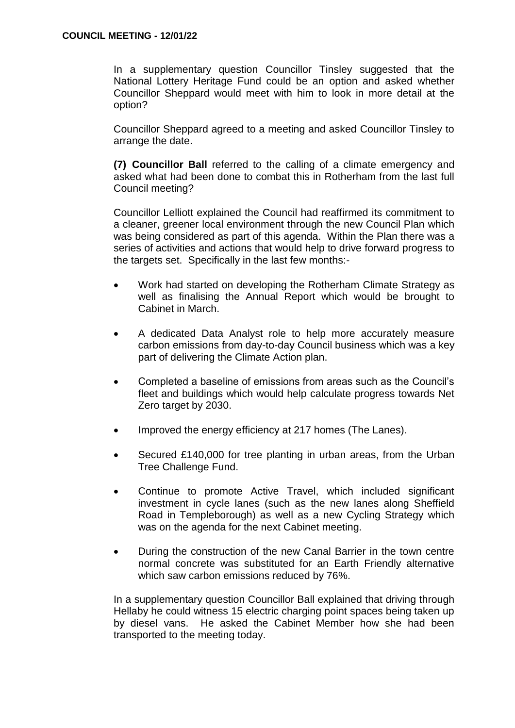In a supplementary question Councillor Tinsley suggested that the National Lottery Heritage Fund could be an option and asked whether Councillor Sheppard would meet with him to look in more detail at the option?

Councillor Sheppard agreed to a meeting and asked Councillor Tinsley to arrange the date.

**(7) Councillor Ball** referred to the calling of a climate emergency and asked what had been done to combat this in Rotherham from the last full Council meeting?

Councillor Lelliott explained the Council had reaffirmed its commitment to a cleaner, greener local environment through the new Council Plan which was being considered as part of this agenda. Within the Plan there was a series of activities and actions that would help to drive forward progress to the targets set. Specifically in the last few months:-

- Work had started on developing the Rotherham Climate Strategy as well as finalising the Annual Report which would be brought to Cabinet in March.
- A dedicated Data Analyst role to help more accurately measure carbon emissions from day-to-day Council business which was a key part of delivering the Climate Action plan.
- Completed a baseline of emissions from areas such as the Council's fleet and buildings which would help calculate progress towards Net Zero target by 2030.
- Improved the energy efficiency at 217 homes (The Lanes).
- Secured £140,000 for tree planting in urban areas, from the Urban Tree Challenge Fund.
- Continue to promote Active Travel, which included significant investment in cycle lanes (such as the new lanes along Sheffield Road in Templeborough) as well as a new Cycling Strategy which was on the agenda for the next Cabinet meeting.
- During the construction of the new Canal Barrier in the town centre normal concrete was substituted for an Earth Friendly alternative which saw carbon emissions reduced by 76%.

In a supplementary question Councillor Ball explained that driving through Hellaby he could witness 15 electric charging point spaces being taken up by diesel vans. He asked the Cabinet Member how she had been transported to the meeting today.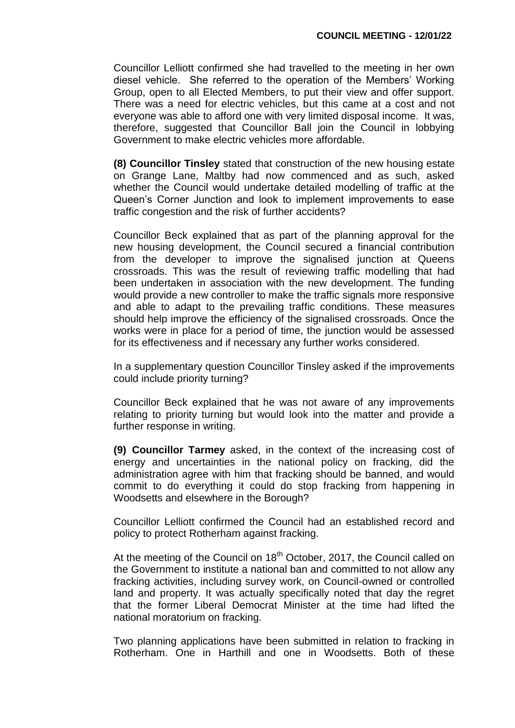Councillor Lelliott confirmed she had travelled to the meeting in her own diesel vehicle. She referred to the operation of the Members' Working Group, open to all Elected Members, to put their view and offer support. There was a need for electric vehicles, but this came at a cost and not everyone was able to afford one with very limited disposal income. It was, therefore, suggested that Councillor Ball join the Council in lobbying Government to make electric vehicles more affordable.

**(8) Councillor Tinsley** stated that construction of the new housing estate on Grange Lane, Maltby had now commenced and as such, asked whether the Council would undertake detailed modelling of traffic at the Queen's Corner Junction and look to implement improvements to ease traffic congestion and the risk of further accidents?

Councillor Beck explained that as part of the planning approval for the new housing development, the Council secured a financial contribution from the developer to improve the signalised junction at Queens crossroads. This was the result of reviewing traffic modelling that had been undertaken in association with the new development. The funding would provide a new controller to make the traffic signals more responsive and able to adapt to the prevailing traffic conditions. These measures should help improve the efficiency of the signalised crossroads. Once the works were in place for a period of time, the junction would be assessed for its effectiveness and if necessary any further works considered.

In a supplementary question Councillor Tinsley asked if the improvements could include priority turning?

Councillor Beck explained that he was not aware of any improvements relating to priority turning but would look into the matter and provide a further response in writing.

**(9) Councillor Tarmey** asked, in the context of the increasing cost of energy and uncertainties in the national policy on fracking, did the administration agree with him that fracking should be banned, and would commit to do everything it could do stop fracking from happening in Woodsetts and elsewhere in the Borough?

Councillor Lelliott confirmed the Council had an established record and policy to protect Rotherham against fracking.

At the meeting of the Council on 18<sup>th</sup> October, 2017, the Council called on the Government to institute a national ban and committed to not allow any fracking activities, including survey work, on Council-owned or controlled land and property. It was actually specifically noted that day the regret that the former Liberal Democrat Minister at the time had lifted the national moratorium on fracking.

Two planning applications have been submitted in relation to fracking in Rotherham. One in Harthill and one in Woodsetts. Both of these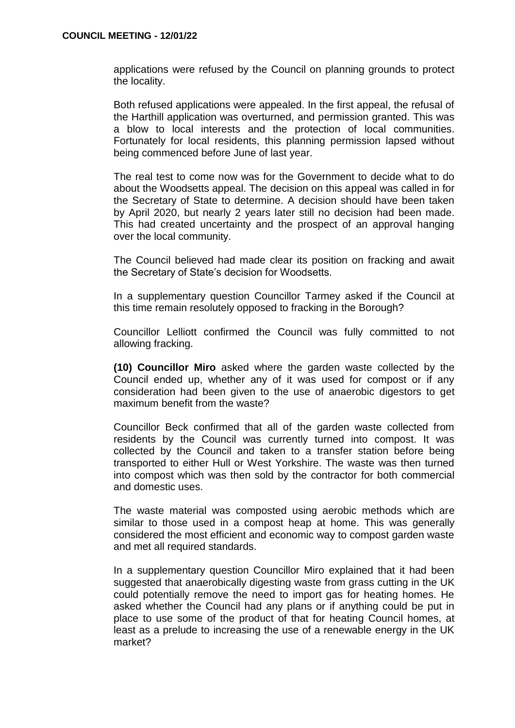applications were refused by the Council on planning grounds to protect the locality.

Both refused applications were appealed. In the first appeal, the refusal of the Harthill application was overturned, and permission granted. This was a blow to local interests and the protection of local communities. Fortunately for local residents, this planning permission lapsed without being commenced before June of last year.

The real test to come now was for the Government to decide what to do about the Woodsetts appeal. The decision on this appeal was called in for the Secretary of State to determine. A decision should have been taken by April 2020, but nearly 2 years later still no decision had been made. This had created uncertainty and the prospect of an approval hanging over the local community.

The Council believed had made clear its position on fracking and await the Secretary of State's decision for Woodsetts.

In a supplementary question Councillor Tarmey asked if the Council at this time remain resolutely opposed to fracking in the Borough?

Councillor Lelliott confirmed the Council was fully committed to not allowing fracking.

**(10) Councillor Miro** asked where the garden waste collected by the Council ended up, whether any of it was used for compost or if any consideration had been given to the use of anaerobic digestors to get maximum benefit from the waste?

Councillor Beck confirmed that all of the garden waste collected from residents by the Council was currently turned into compost. It was collected by the Council and taken to a transfer station before being transported to either Hull or West Yorkshire. The waste was then turned into compost which was then sold by the contractor for both commercial and domestic uses.

The waste material was composted using aerobic methods which are similar to those used in a compost heap at home. This was generally considered the most efficient and economic way to compost garden waste and met all required standards.

In a supplementary question Councillor Miro explained that it had been suggested that anaerobically digesting waste from grass cutting in the UK could potentially remove the need to import gas for heating homes. He asked whether the Council had any plans or if anything could be put in place to use some of the product of that for heating Council homes, at least as a prelude to increasing the use of a renewable energy in the UK market?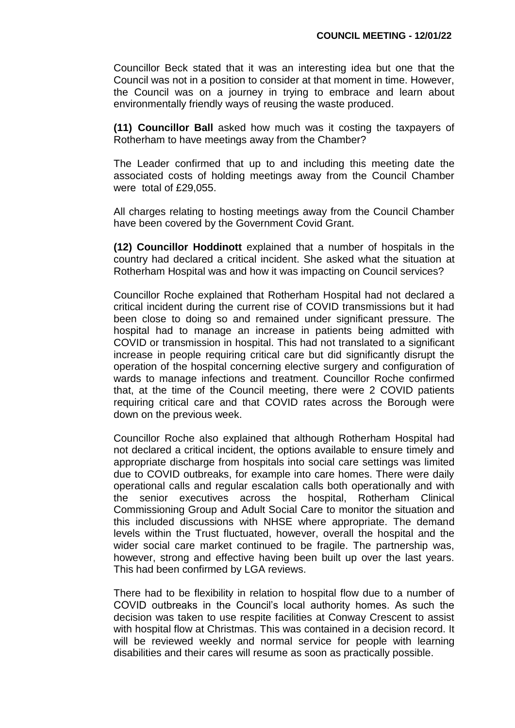Councillor Beck stated that it was an interesting idea but one that the Council was not in a position to consider at that moment in time. However, the Council was on a journey in trying to embrace and learn about environmentally friendly ways of reusing the waste produced.

**(11) Councillor Ball** asked how much was it costing the taxpayers of Rotherham to have meetings away from the Chamber?

The Leader confirmed that up to and including this meeting date the associated costs of holding meetings away from the Council Chamber were total of £29,055.

All charges relating to hosting meetings away from the Council Chamber have been covered by the Government Covid Grant.

**(12) Councillor Hoddinott** explained that a number of hospitals in the country had declared a critical incident. She asked what the situation at Rotherham Hospital was and how it was impacting on Council services?

Councillor Roche explained that Rotherham Hospital had not declared a critical incident during the current rise of COVID transmissions but it had been close to doing so and remained under significant pressure. The hospital had to manage an increase in patients being admitted with COVID or transmission in hospital. This had not translated to a significant increase in people requiring critical care but did significantly disrupt the operation of the hospital concerning elective surgery and configuration of wards to manage infections and treatment. Councillor Roche confirmed that, at the time of the Council meeting, there were 2 COVID patients requiring critical care and that COVID rates across the Borough were down on the previous week.

Councillor Roche also explained that although Rotherham Hospital had not declared a critical incident, the options available to ensure timely and appropriate discharge from hospitals into social care settings was limited due to COVID outbreaks, for example into care homes. There were daily operational calls and regular escalation calls both operationally and with the senior executives across the hospital, Rotherham Clinical Commissioning Group and Adult Social Care to monitor the situation and this included discussions with NHSE where appropriate. The demand levels within the Trust fluctuated, however, overall the hospital and the wider social care market continued to be fragile. The partnership was, however, strong and effective having been built up over the last years. This had been confirmed by LGA reviews.

There had to be flexibility in relation to hospital flow due to a number of COVID outbreaks in the Council's local authority homes. As such the decision was taken to use respite facilities at Conway Crescent to assist with hospital flow at Christmas. This was contained in a decision record. It will be reviewed weekly and normal service for people with learning disabilities and their cares will resume as soon as practically possible.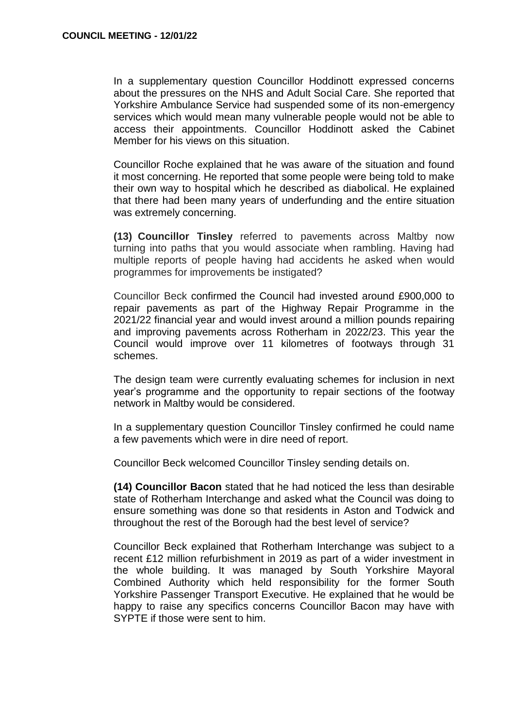In a supplementary question Councillor Hoddinott expressed concerns about the pressures on the NHS and Adult Social Care. She reported that Yorkshire Ambulance Service had suspended some of its non-emergency services which would mean many vulnerable people would not be able to access their appointments. Councillor Hoddinott asked the Cabinet Member for his views on this situation.

Councillor Roche explained that he was aware of the situation and found it most concerning. He reported that some people were being told to make their own way to hospital which he described as diabolical. He explained that there had been many years of underfunding and the entire situation was extremely concerning.

**(13) Councillor Tinsley** referred to pavements across Maltby now turning into paths that you would associate when rambling. Having had multiple reports of people having had accidents he asked when would programmes for improvements be instigated?

Councillor Beck confirmed the Council had invested around £900,000 to repair pavements as part of the Highway Repair Programme in the 2021/22 financial year and would invest around a million pounds repairing and improving pavements across Rotherham in 2022/23. This year the Council would improve over 11 kilometres of footways through 31 schemes.

The design team were currently evaluating schemes for inclusion in next year's programme and the opportunity to repair sections of the footway network in Maltby would be considered.

In a supplementary question Councillor Tinsley confirmed he could name a few pavements which were in dire need of report.

Councillor Beck welcomed Councillor Tinsley sending details on.

**(14) Councillor Bacon** stated that he had noticed the less than desirable state of Rotherham Interchange and asked what the Council was doing to ensure something was done so that residents in Aston and Todwick and throughout the rest of the Borough had the best level of service?

Councillor Beck explained that Rotherham Interchange was subject to a recent £12 million refurbishment in 2019 as part of a wider investment in the whole building. It was managed by South Yorkshire Mayoral Combined Authority which held responsibility for the former South Yorkshire Passenger Transport Executive. He explained that he would be happy to raise any specifics concerns Councillor Bacon may have with SYPTE if those were sent to him.